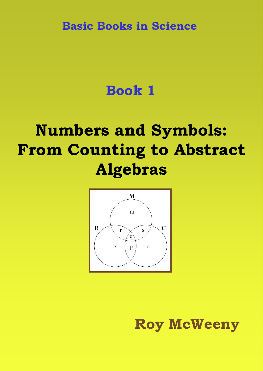**Basic Books in Science**

# **Book 1**

# **Numbers and Symbols: From Counting to Abstract Algebras**



**Roy McWeeny**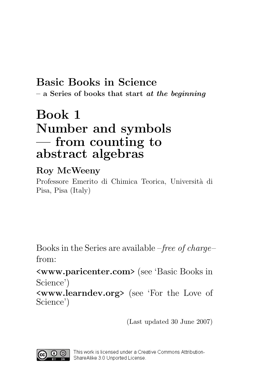## Basic Books in Science  $-$  a Series of books that start *at the beginning*

# Book 1 Number and symbols — from counting to abstract algebras

## Roy McWeeny

Professore Emerito di Chimica Teorica, Università di Pisa, Pisa (Italy)

Books in the Series are available –free of charge– from:

<www.paricenter.com> (see 'Basic Books in Science')

<www.learndev.org> (see 'For the Love of Science')

(Last updated 30 June 2007)

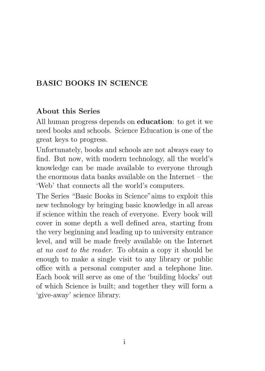## BASIC BOOKS IN SCIENCE

### About this Series

All human progress depends on education: to get it we need books and schools. Science Education is one of the great keys to progress.

Unfortunately, books and schools are not always easy to find. But now, with modern technology, all the world's knowledge can be made available to everyone through the enormous data banks available on the Internet – the 'Web' that connects all the world's computers.

The Series "Basic Books in Science"aims to exploit this new technology by bringing basic knowledge in all areas if science within the reach of everyone. Every book will cover in some depth a well defined area, starting from the very beginning and leading up to university entrance level, and will be made freely available on the Internet at no cost to the reader. To obtain a copy it should be enough to make a single visit to any library or public office with a personal computer and a telephone line. Each book will serve as one of the 'building blocks' out of which Science is built; and together they will form a 'give-away' science library.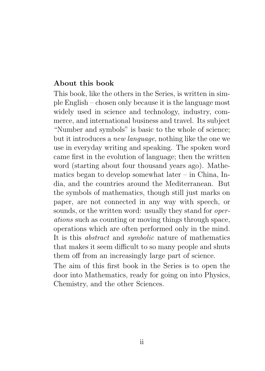### About this book

This book, like the others in the Series, is written in simple English – chosen only because it is the language most widely used in science and technology, industry, commerce, and international business and travel. Its subject "Number and symbols" is basic to the whole of science; but it introduces a new language, nothing like the one we use in everyday writing and speaking. The spoken word came first in the evolution of language; then the written word (starting about four thousand years ago). Mathematics began to develop somewhat later – in China, India, and the countries around the Mediterranean. But the symbols of mathematics, though still just marks on paper, are not connected in any way with speech, or sounds, or the written word: usually they stand for *oper*ations such as counting or moving things through space, operations which are often performed only in the mind. It is this abstract and symbolic nature of mathematics that makes it seem difficult to so many people and shuts them off from an increasingly large part of science.

The aim of this first book in the Series is to open the door into Mathematics, ready for going on into Physics, Chemistry, and the other Sciences.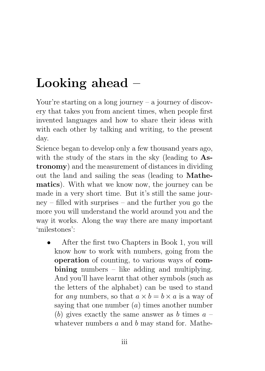# Looking ahead –

Your're starting on a long journey – a journey of discovery that takes you from ancient times, when people first invented languages and how to share their ideas with with each other by talking and writing, to the present day.

Science began to develop only a few thousand years ago, with the study of the stars in the sky (leading to Astronomy) and the measurement of distances in dividing out the land and sailing the seas (leading to Mathematics). With what we know now, the journey can be made in a very short time. But it's still the same journey – filled with surprises – and the further you go the more you will understand the world around you and the way it works. Along the way there are many important 'milestones':

• After the first two Chapters in Book 1, you will know how to work with numbers, going from the operation of counting, to various ways of com $bining number = like adding and multiplying.$ And you'll have learnt that other symbols (such as the letters of the alphabet) can be used to stand for any numbers, so that  $a \times b = b \times a$  is a way of saying that one number  $(a)$  times another number (b) gives exactly the same answer as b times  $a$ whatever numbers  $a$  and  $b$  may stand for. Mathe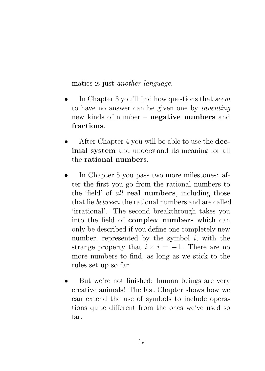matics is just another language.

- In Chapter 3 you'll find how questions that *seem* to have no answer can be given one by inventing new kinds of number – negative numbers and fractions.
- After Chapter 4 you will be able to use the **dec**imal system and understand its meaning for all the rational numbers.
- In Chapter 5 you pass two more milestones: after the first you go from the rational numbers to the 'field' of all real numbers, including those that lie between the rational numbers and are called 'irrational'. The second breakthrough takes you into the field of complex numbers which can only be described if you define one completely new number, represented by the symbol  $i$ , with the strange property that  $i \times i = -1$ . There are no more numbers to find, as long as we stick to the rules set up so far.
- But we're not finished: human beings are very creative animals! The last Chapter shows how we can extend the use of symbols to include operations quite different from the ones we've used so far.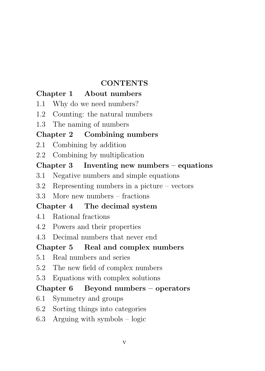### **CONTENTS**

### Chapter 1 About numbers

- 1.1 Why do we need numbers?
- 1.2 Counting: the natural numbers
- 1.3 The naming of numbers

### Chapter 2 Combining numbers

- 2.1 Combining by addition
- 2.2 Combining by multiplication

### Chapter 3 Inventing new numbers – equations

- 3.1 Negative numbers and simple equations
- 3.2 Representing numbers in a picture vectors
- 3.3 More new numbers fractions

## Chapter 4 The decimal system

- 4.1 Rational fractions
- 4.2 Powers and their properties
- 4.3 Decimal numbers that never end

## Chapter 5 Real and complex numbers

- 5.1 Real numbers and series
- 5.2 The new field of complex numbers
- 5.3 Equations with complex solutions

### Chapter  $6$  Beyond numbers – operators

- 6.1 Symmetry and groups
- 6.2 Sorting things into categories
- 6.3 Arguing with symbols logic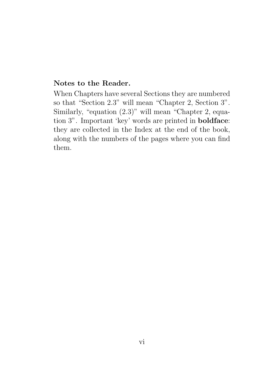#### Notes to the Reader.

When Chapters have several Sections they are numbered so that "Section 2.3" will mean "Chapter 2, Section 3". Similarly, "equation (2.3)" will mean "Chapter 2, equation 3". Important 'key' words are printed in boldface: they are collected in the Index at the end of the book, along with the numbers of the pages where you can find them.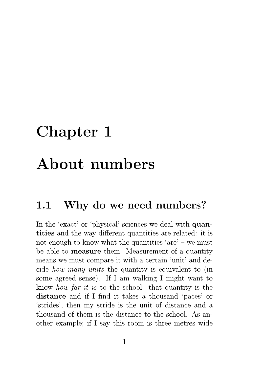# Chapter 1

# About numbers

# 1.1 Why do we need numbers?

In the 'exact' or 'physical' sciences we deal with **quan**tities and the way different quantities are related: it is not enough to know what the quantities 'are' – we must be able to measure them. Measurement of a quantity means we must compare it with a certain 'unit' and decide how many units the quantity is equivalent to (in some agreed sense). If I am walking I might want to know how far it is to the school: that quantity is the distance and if I find it takes a thousand 'paces' or 'strides', then my stride is the unit of distance and a thousand of them is the distance to the school. As another example; if I say this room is three metres wide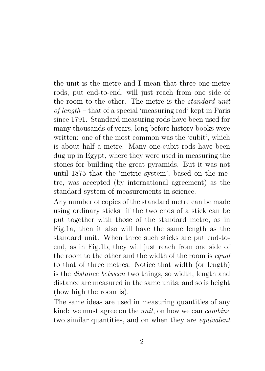the unit is the metre and I mean that three one-metre rods, put end-to-end, will just reach from one side of the room to the other. The metre is the standard unit of length – that of a special 'measuring rod' kept in Paris since 1791. Standard measuring rods have been used for many thousands of years, long before history books were written: one of the most common was the 'cubit', which is about half a metre. Many one-cubit rods have been dug up in Egypt, where they were used in measuring the stones for building the great pyramids. But it was not until 1875 that the 'metric system', based on the metre, was accepted (by international agreement) as the standard system of measurements in science.

Any number of copies of the standard metre can be made using ordinary sticks: if the two ends of a stick can be put together with those of the standard metre, as in Fig.1a, then it also will have the same length as the standard unit. When three such sticks are put end-toend, as in Fig.1b, they will just reach from one side of the room to the other and the width of the room is *equal* to that of three metres. Notice that width (or length) is the distance between two things, so width, length and distance are measured in the same units; and so is height (how high the room is).

The same ideas are used in measuring quantities of any kind: we must agree on the unit, on how we can combine two similar quantities, and on when they are equivalent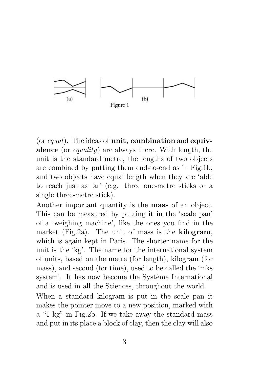

(or equal). The ideas of unit, combination and equivalence (or equality) are always there. With length, the unit is the standard metre, the lengths of two objects are combined by putting them end-to-end as in Fig.1b, and two objects have equal length when they are 'able to reach just as far' (e.g. three one-metre sticks or a single three-metre stick).

Another important quantity is the mass of an object. This can be measured by putting it in the 'scale pan' of a 'weighing machine', like the ones you find in the market (Fig.2a). The unit of mass is the **kilogram**, which is again kept in Paris. The shorter name for the unit is the 'kg'. The name for the international system of units, based on the metre (for length), kilogram (for mass), and second (for time), used to be called the 'mks system'. It has now become the Système International and is used in all the Sciences, throughout the world.

When a standard kilogram is put in the scale pan it makes the pointer move to a new position, marked with a "1 kg" in Fig.2b. If we take away the standard mass and put in its place a block of clay, then the clay will also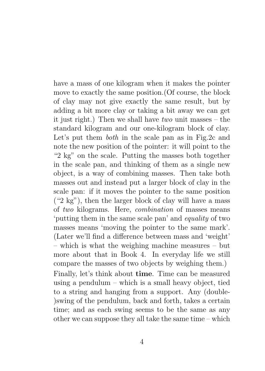have a mass of one kilogram when it makes the pointer move to exactly the same position.(Of course, the block of clay may not give exactly the same result, but by adding a bit more clay or taking a bit away we can get it just right.) Then we shall have two unit masses – the standard kilogram and our one-kilogram block of clay. Let's put them both in the scale pan as in Fig.2c and note the new position of the pointer: it will point to the "2 kg" on the scale. Putting the masses both together in the scale pan, and thinking of them as a single new object, is a way of combining masses. Then take both masses out and instead put a larger block of clay in the scale pan: if it moves the pointer to the same position  $($ "2 kg"), then the larger block of clay will have a mass of two kilograms. Here, combination of masses means 'putting them in the same scale pan' and equality of two masses means 'moving the pointer to the same mark'. (Later we'll find a difference between mass and 'weight' – which is what the weighing machine measures – but more about that in Book 4. In everyday life we still compare the masses of two objects by weighing them.) Finally, let's think about time. Time can be measured using a pendulum – which is a small heavy object, tied to a string and hanging from a support. Any (double- )swing of the pendulum, back and forth, takes a certain time; and as each swing seems to be the same as any other we can suppose they all take the same time – which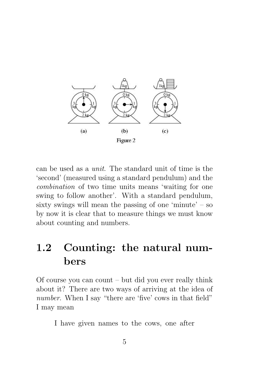

can be used as a unit. The standard unit of time is the 'second' (measured using a standard pendulum) and the combination of two time units means 'waiting for one swing to follow another'. With a standard pendulum, sixty swings will mean the passing of one 'minute' – so by now it is clear that to measure things we must know about counting and numbers.

# 1.2 Counting: the natural numbers

Of course you can count – but did you ever really think about it? There are two ways of arriving at the idea of number. When I say "there are 'five' cows in that field" I may mean

I have given names to the cows, one after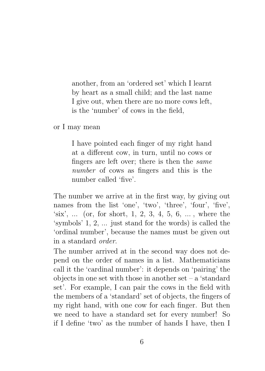another, from an 'ordered set' which I learnt by heart as a small child; and the last name I give out, when there are no more cows left, is the 'number' of cows in the field,

or I may mean

I have pointed each finger of my right hand at a different cow, in turn, until no cows or fingers are left over; there is then the same number of cows as fingers and this is the number called 'five'.

The number we arrive at in the first way, by giving out names from the list 'one', 'two', 'three', 'four', 'five', 'six', ... (or, for short, 1, 2, 3, 4, 5, 6, ... , where the 'symbols' 1, 2, ... just stand for the words) is called the 'ordinal number', because the names must be given out in a standard order.

The number arrived at in the second way does not depend on the order of names in a list. Mathematicians call it the 'cardinal number': it depends on 'pairing' the objects in one set with those in another set – a 'standard set'. For example, I can pair the cows in the field with the members of a 'standard' set of objects, the fingers of my right hand, with one cow for each finger. But then we need to have a standard set for every number! So if I define 'two' as the number of hands I have, then I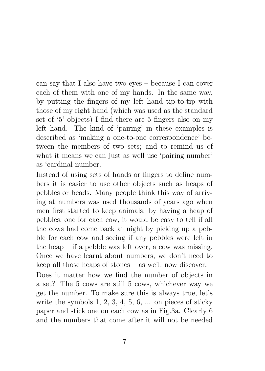can say that I also have two eyes – because I can cover each of them with one of my hands. In the same way, by putting the fingers of my left hand tip-to-tip with those of my right hand (which was used as the standard set of '5' objects) I find there are 5 fingers also on my left hand. The kind of 'pairing' in these examples is described as 'making a one-to-one correspondence' between the members of two sets; and to remind us of what it means we can just as well use 'pairing number' as 'cardinal number.

Instead of using sets of hands or fingers to define numbers it is easier to use other objects such as heaps of pebbles or beads. Many people think this way of arriving at numbers was used thousands of years ago when men first started to keep animals: by having a heap of pebbles, one for each cow, it would be easy to tell if all the cows had come back at night by picking up a pebble for each cow and seeing if any pebbles were left in the heap – if a pebble was left over, a cow was missing. Once we have learnt about numbers, we don't need to keep all those heaps of stones – as we'll now discover.

Does it matter how we find the number of objects in a set? The 5 cows are still 5 cows, whichever way we get the number. To make sure this is always true, let's write the symbols  $1, 2, 3, 4, 5, 6, \ldots$  on pieces of sticky paper and stick one on each cow as in Fig.3a. Clearly 6 and the numbers that come after it will not be needed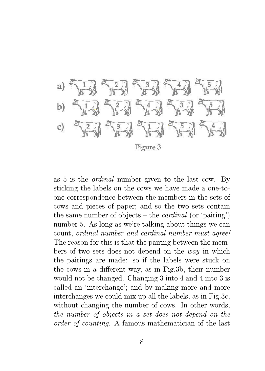

as 5 is the ordinal number given to the last cow. By sticking the labels on the cows we have made a one-toone correspondence between the members in the sets of cows and pieces of paper; and so the two sets contain the same number of objects – the *cardinal* (or 'pairing') number 5. As long as we're talking about things we can count, ordinal number and cardinal number must agree! The reason for this is that the pairing between the members of two sets does not depend on the way in which the pairings are made: so if the labels were stuck on the cows in a different way, as in Fig.3b, their number would not be changed. Changing 3 into 4 and 4 into 3 is called an 'interchange'; and by making more and more interchanges we could mix up all the labels, as in Fig.3c, without changing the number of cows. In other words, the number of objects in a set does not depend on the order of counting. A famous mathematician of the last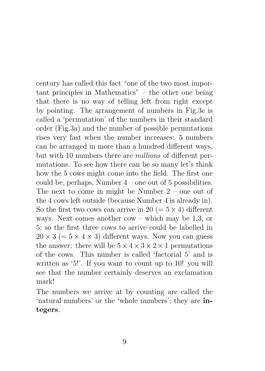century has called this fact "one of the two most important principles in Mathematics" – the other one being that there is no way of telling left from right except by pointing. The arrangement of numbers in Fig.3c is called a 'permutation' of the numbers in their standard order (Fig.3a) and the number of possible permutations rises very fast when the number increases: 5 numbers can be arranged in more than a hundred different ways, but with 10 numbers there are millions of different permutations. To see how there can be so many let's think how the 5 cows might come into the field. The first one could be, perhaps, Number 4 – one out of 5 possibilities. The next to come in might be Number 2 – one out of the 4 cows left outside (because Number 4 is already in). So the first two cows can arrive in 20 ( $= 5 \times 4$ ) different ways. Next comes another cow – which may be 1,3, or 5; so the first three cows to arrive could be labelled in  $20 \times 3 (= 5 \times 4 \times 3)$  different ways. Now you can guess the answer: there will be  $5 \times 4 \times 3 \times 2 \times 1$  permutations of the cows. This number is called 'factorial 5' and is written as '5!'. If you want to count up to 10! you will see that the number certainly deserves an exclamation mark!

The numbers we arrive at by counting are called the 'natural numbers' or the 'whole numbers'; they are integers.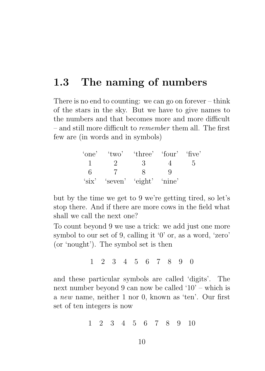# 1.3 The naming of numbers

There is no end to counting: we can go on forever – think of the stars in the sky. But we have to give names to the numbers and that becomes more and more difficult – and still more difficult to remember them all. The first few are (in words and in symbols)

|   | 'one' 'two' 'three' 'four' 'five' |  |  |
|---|-----------------------------------|--|--|
|   |                                   |  |  |
| 6 |                                   |  |  |
|   | 'six' 'seven' 'eight' 'nine'      |  |  |

but by the time we get to 9 we're getting tired, so let's stop there. And if there are more cows in the field what shall we call the next one?

To count beyond 9 we use a trick: we add just one more symbol to our set of 9, calling it '0' or, as a word, 'zero' (or 'nought'). The symbol set is then

1 2 3 4 5 6 7 8 9 0

and these particular symbols are called 'digits'. The next number beyond 9 can now be called '10' – which is a new name, neither 1 nor 0, known as 'ten'. Our first set of ten integers is now

1 2 3 4 5 6 7 8 9 10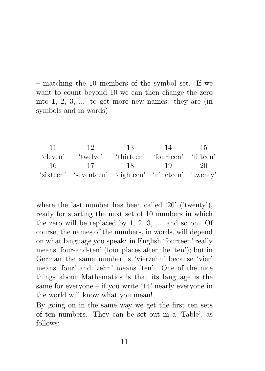– matching the 10 members of the symbol set. If we want to count beyond 10 we can then change the zero into 1, 2, 3, ... to get more new names: they are (in symbols and in words)

11 12 13 14 15 'eleven' 'twelve' 'thirteen' 'fourteen' 'fifteen' 16 17 18 19 20 'sixteen' 'seventeen' 'eighteen' 'nineteen' 'twenty'

where the last number has been called '20' ('twenty'), ready for starting the next set of 10 numbers in which the zero will be replaced by 1, 2, 3, ... and so on. Of course, the names of the numbers, in words, will depend on what language you speak: in English 'fourteen' really means 'four-and-ten' (four places after the 'ten'); but in German the same number is 'vierzehn' because 'vier' means 'four' and 'zehn' means 'ten'. One of the nice things about Mathematics is that its language is the same for everyone – if you write '14' nearly everyone in the world will know what you mean!

By going on in the same way we get the first ten sets of ten numbers. They can be set out in a 'Table', as follows: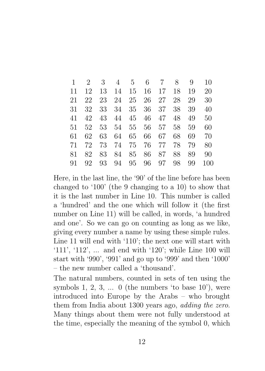|    |    | 3    | 4  | $5\degree$ | $6\overline{6}$ | $7\overline{ }$ | 8  | 9  | 10  |
|----|----|------|----|------------|-----------------|-----------------|----|----|-----|
| 11 | 12 | 13   | 14 | 15         | 16              | 17              | 18 | 19 | 20  |
| 21 | 22 | 23   | 24 |            | 25 26           | 27              | 28 | 29 | 30  |
| 31 | 32 | 33   | 34 | 35         | 36              | 37              | 38 | 39 | 40  |
| 41 | 42 | 43   | 44 | 45         | 46              | 47              | 48 | 49 | 50  |
| 51 | 52 | 53   | 54 | 55         | 56              | 57              | 58 | 59 | 60  |
| 61 | 62 | 63   | 64 | 65         | 66              | 67              | 68 | 69 | 70  |
| 71 | 72 | 73 - | 74 |            | 75 76           | 77              | 78 | 79 | 80  |
| 81 | 82 | 83   | 84 | 85         | 86              | 87              | 88 | 89 | 90  |
| 91 | 92 | 93   | 94 | 95         | 96              | 97              | 98 | 99 | 100 |

Here, in the last line, the '90' of the line before has been changed to '100' (the 9 changing to a 10) to show that it is the last number in Line 10. This number is called a 'hundred' and the one which will follow it (the first number on Line 11) will be called, in words, 'a hundred and one'. So we can go on counting as long as we like, giving every number a name by using these simple rules. Line 11 will end with '110'; the next one will start with '111', '112', ... and end with '120'; while Line 100 will start with '990', '991' and go up to '999' and then '1000' – the new number called a 'thousand'.

The natural numbers, counted in sets of ten using the symbols 1, 2, 3,  $\dots$  0 (the numbers 'to base 10'), were introduced into Europe by the Arabs – who brought them from India about 1300 years ago, adding the zero. Many things about them were not fully understood at the time, especially the meaning of the symbol 0, which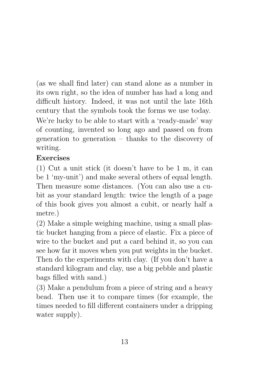(as we shall find later) can stand alone as a number in its own right, so the idea of number has had a long and difficult history. Indeed, it was not until the late 16th century that the symbols took the forms we use today.

We're lucky to be able to start with a 'ready-made' way of counting, invented so long ago and passed on from generation to generation – thanks to the discovery of writing.

## Exercises

(1) Cut a unit stick (it doesn't have to be 1 m, it can be 1 'my-unit') and make several others of equal length. Then measure some distances. (You can also use a cubit as your standard length: twice the length of a page of this book gives you almost a cubit, or nearly half a metre.)

(2) Make a simple weighing machine, using a small plastic bucket hanging from a piece of elastic. Fix a piece of wire to the bucket and put a card behind it, so you can see how far it moves when you put weights in the bucket. Then do the experiments with clay. (If you don't have a standard kilogram and clay, use a big pebble and plastic bags filled with sand.)

(3) Make a pendulum from a piece of string and a heavy bead. Then use it to compare times (for example, the times needed to fill different containers under a dripping water supply).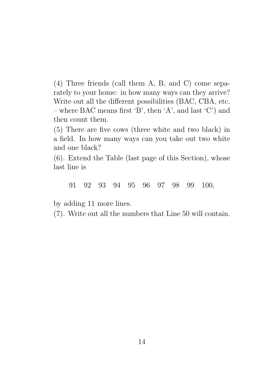(4) Three friends (call them A, B, and C) come separately to your home: in how many ways can they arrive? Write out all the different possibilities (BAC, CBA, etc. – where BAC means first 'B', then 'A', and last 'C') and then count them.

(5) There are five cows (three white and two black) in a field. In how many ways can you take out two white and one black?

(6). Extend the Table (last page of this Section), whose last line is

91 92 93 94 95 96 97 98 99 100,

by adding 11 more lines.

(7). Write out all the numbers that Line 50 will contain.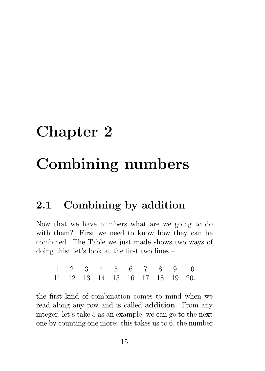# Chapter 2

# Combining numbers

# 2.1 Combining by addition

Now that we have numbers what are we going to do with them? First we need to know how they can be combined. The Table we just made shows two ways of doing this: let's look at the first two lines –

| $1 \quad 2 \quad 3 \quad 4 \quad 5 \quad 6 \quad 7 \quad 8 \quad 9 \quad 10$ |  |  |  |  |
|------------------------------------------------------------------------------|--|--|--|--|
| 11 12 13 14 15 16 17 18 19 20.                                               |  |  |  |  |

the first kind of combination comes to mind when we read along any row and is called addition. From any integer, let's take 5 as an example, we can go to the next one by counting one more: this takes us to 6, the number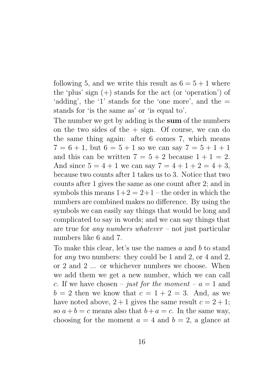following 5, and we write this result as  $6 = 5 + 1$  where the 'plus' sign (+) stands for the act (or 'operation') of 'adding', the '1' stands for the 'one more', and the  $=$ stands for 'is the same as' or 'is equal to'.

The number we get by adding is the sum of the numbers on the two sides of the  $+$  sign. Of course, we can do the same thing again: after 6 comes 7, which means  $7 = 6 + 1$ , but  $6 = 5 + 1$  so we can say  $7 = 5 + 1 + 1$ and this can be written  $7 = 5 + 2$  because  $1 + 1 = 2$ . And since  $5 = 4 + 1$  we can say  $7 = 4 + 1 + 2 = 4 + 3$ , because two counts after 1 takes us to 3. Notice that two counts after 1 gives the same as one count after 2; and in symbols this means  $1+2 = 2+1$  – the order in which the numbers are combined makes no difference. By using the symbols we can easily say things that would be long and complicated to say in words; and we can say things that are true for *any numbers whatever* – not just particular numbers like 6 and 7.

To make this clear, let's use the names  $a$  and  $b$  to stand for any two numbers: they could be 1 and 2, or 4 and 2, or 2 and 2 ... or whichever numbers we choose. When we add them we get a new number, which we can call c. If we have chosen – just for the moment –  $a = 1$  and  $b = 2$  then we know that  $c = 1 + 2 = 3$ . And, as we have noted above,  $2 + 1$  gives the same result  $c = 2 + 1$ ; so  $a+b=c$  means also that  $b+a=c$ . In the same way, choosing for the moment  $a = 4$  and  $b = 2$ , a glance at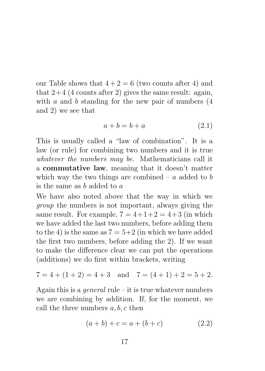our Table shows that  $4+2=6$  (two counts after 4) and that  $2+4$  (4 counts after 2) gives the same result: again, with  $a$  and  $b$  standing for the new pair of numbers  $(4)$ and 2) we see that

$$
a + b = b + a \tag{2.1}
$$

This is usually called a "law of combination". It is a law (or rule) for combining two numbers and it is true whatever the numbers may be. Mathematicians call it a commutative law, meaning that it doesn't matter which way the two things are combined –  $a$  added to  $b$ is the same as  $b$  added to  $a$ 

We have also noted above that the way in which we group the numbers is not important, always giving the same result. For example,  $7 = 4+1+2 = 4+3$  (in which we have added the last two numbers, before adding them to the 4) is the same as  $7 = 5+2$  (in which we have added the first two numbers, before adding the 2). If we want to make the difference clear we can put the operations (additions) we do first within brackets, writing

$$
7 = 4 + (1 + 2) = 4 + 3
$$
 and  $7 = (4 + 1) + 2 = 5 + 2$ .

Again this is a *general* rule – it is true whatever numbers we are combining by addition. If, for the moment, we call the three numbers  $a, b, c$  then

$$
(a+b)+c = a + (b+c)
$$
 (2.2)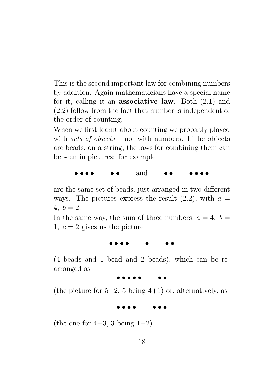This is the second important law for combining numbers by addition. Again mathematicians have a special name for it, calling it an associative law. Both (2.1) and (2.2) follow from the fact that number is independent of the order of counting.

When we first learnt about counting we probably played with sets of objects – not with numbers. If the objects are beads, on a string, the laws for combining them can be seen in pictures: for example

• • • • • • and • • • • • •

are the same set of beads, just arranged in two different ways. The pictures express the result  $(2.2)$ , with  $a =$ 4,  $b = 2$ .

In the same way, the sum of three numbers,  $a = 4$ ,  $b =$ 1,  $c = 2$  gives us the picture

• • • • • • •

(4 beads and 1 bead and 2 beads), which can be rearranged as

• • • • • • •

(the picture for  $5+2$ , 5 being  $4+1$ ) or, alternatively, as

• • • • • • •

(the one for  $4+3$ , 3 being  $1+2$ ).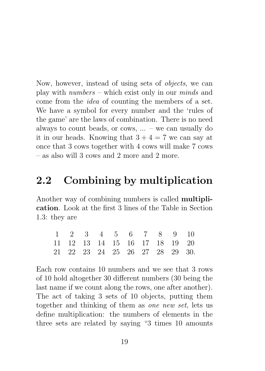Now, however, instead of using sets of objects, we can play with numbers – which exist only in our minds and come from the idea of counting the members of a set. We have a symbol for every number and the 'rules of the game' are the laws of combination. There is no need always to count beads, or cows, ... – we can usually do it in our heads. Knowing that  $3 + 4 = 7$  we can say at once that 3 cows together with 4 cows will make 7 cows – as also will 3 cows and 2 more and 2 more.

## 2.2 Combining by multiplication

Another way of combining numbers is called multiplication. Look at the first 3 lines of the Table in Section 1.3: they are

| 1 2 3 4 5 6 7 8 9 10           |  |  |  |  |
|--------------------------------|--|--|--|--|
| 11 12 13 14 15 16 17 18 19 20  |  |  |  |  |
| 21 22 23 24 25 26 27 28 29 30. |  |  |  |  |

Each row contains 10 numbers and we see that 3 rows of 10 hold altogether 30 different numbers (30 being the last name if we count along the rows, one after another). The act of taking 3 sets of 10 objects, putting them together and thinking of them as one new set, lets us define multiplication: the numbers of elements in the three sets are related by saying "3 times 10 amounts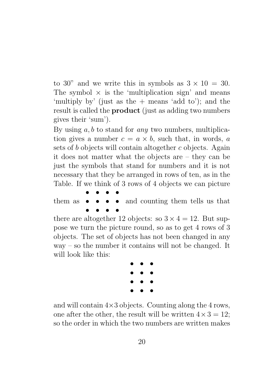to 30" and we write this in symbols as  $3 \times 10 = 30$ . The symbol  $\times$  is the 'multiplication sign' and means 'multiply by' (just as the + means 'add to'); and the result is called the **product** (just as adding two numbers gives their 'sum').

By using  $a, b$  to stand for *any* two numbers, multiplication gives a number  $c = a \times b$ , such that, in words, a sets of b objects will contain altogether c objects. Again it does not matter what the objects are – they can be just the symbols that stand for numbers and it is not necessary that they be arranged in rows of ten, as in the Table. If we think of 3 rows of 4 objects we can picture

them as • • • • • • • and counting them tells us that • • • •

there are altogether 12 objects: so  $3 \times 4 = 12$ . But suppose we turn the picture round, so as to get 4 rows of 3 objects. The set of objects has not been changed in any way – so the number it contains will not be changed. It will look like this:



and will contain  $4\times3$  objects. Counting along the 4 rows, one after the other, the result will be written  $4 \times 3 = 12$ ; so the order in which the two numbers are written makes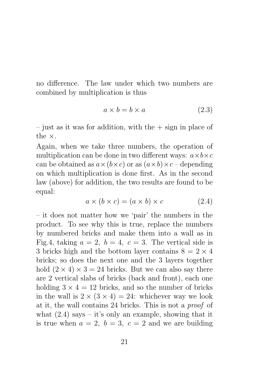no difference. The law under which two numbers are combined by multiplication is thus

$$
a \times b = b \times a \tag{2.3}
$$

 $-$  just as it was for addition, with the  $+$  sign in place of the ×.

Again, when we take three numbers, the operation of multiplication can be done in two different ways:  $a \times b \times c$ can be obtained as  $a \times (b \times c)$  or as  $(a \times b) \times c$  – depending on which multiplication is done first. As in the second law (above) for addition, the two results are found to be equal:

$$
a \times (b \times c) = (a \times b) \times c \tag{2.4}
$$

– it does not matter how we 'pair' the numbers in the product. To see why this is true, replace the numbers by numbered bricks and make them into a wall as in Fig.4, taking  $a = 2$ ,  $b = 4$ ,  $c = 3$ . The vertical side is 3 bricks high and the bottom layer contains  $8 = 2 \times 4$ bricks; so does the next one and the 3 layers together hold  $(2 \times 4) \times 3 = 24$  bricks. But we can also say there are 2 vertical slabs of bricks (back and front), each one holding  $3 \times 4 = 12$  bricks, and so the number of bricks in the wall is  $2 \times (3 \times 4) = 24$ : whichever way we look at it, the wall contains 24 bricks. This is not a proof of what  $(2.4)$  says – it's only an example, showing that it is true when  $a = 2$ ,  $b = 3$ ,  $c = 2$  and we are building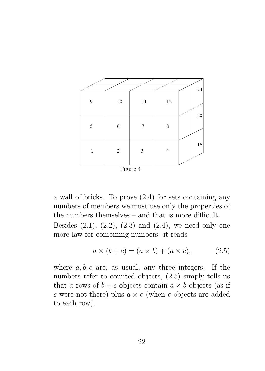|              |            |                |             | 24     |
|--------------|------------|----------------|-------------|--------|
| 9            | $10\,$     | 11             | 12          |        |
|              |            |                |             | $20\,$ |
| $\sqrt{5}$   | 6          | 7              | $\,$ 8 $\,$ |        |
|              |            |                |             |        |
| $\mathbf{1}$ | $\sqrt{2}$ | $\mathfrak{Z}$ | 4           | 16     |
|              |            |                |             |        |
|              |            |                |             |        |
|              |            | Figure 4       |             |        |

a wall of bricks. To prove (2.4) for sets containing any numbers of members we must use only the properties of the numbers themselves – and that is more difficult. Besides  $(2.1)$ ,  $(2.2)$ ,  $(2.3)$  and  $(2.4)$ , we need only one more law for combining numbers: it reads

$$
a \times (b + c) = (a \times b) + (a \times c), \tag{2.5}
$$

where  $a, b, c$  are, as usual, any three integers. If the numbers refer to counted objects, (2.5) simply tells us that a rows of  $b + c$  objects contain  $a \times b$  objects (as if c were not there) plus  $a \times c$  (when c objects are added to each row).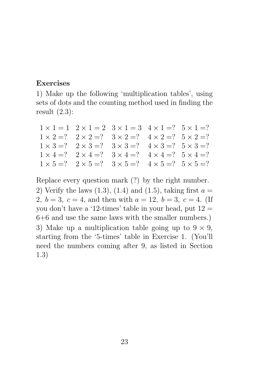### Exercises

1) Make up the following 'multiplication tables', using sets of dots and the counting method used in finding the result (2.3):

| $1 \times 1 = 1$ $2 \times 1 = 2$ $3 \times 1 = 3$ $4 \times 1 = ?$ $5 \times 1 = ?$ |  |  |
|--------------------------------------------------------------------------------------|--|--|
| $1 \times 2 = ?$ $2 \times 2 = ?$ $3 \times 2 = ?$ $4 \times 2 = ?$ $5 \times 2 = ?$ |  |  |
| $1 \times 3 = ?$ $2 \times 3 = ?$ $3 \times 3 = ?$ $4 \times 3 = ?$ $5 \times 3 = ?$ |  |  |
| $1 \times 4 = ?$ $2 \times 4 = ?$ $3 \times 4 = ?$ $4 \times 4 = ?$ $5 \times 4 = ?$ |  |  |
| $1 \times 5 = ?$ $2 \times 5 = ?$ $3 \times 5 = ?$ $4 \times 5 = ?$ $5 \times 5 = ?$ |  |  |

Replace every question mark (?) by the right number.

2) Verify the laws  $(1.3)$ ,  $(1.4)$  and  $(1.5)$ , taking first  $a =$ 2,  $b = 3$ ,  $c = 4$ , and then with  $a = 12$ ,  $b = 3$ ,  $c = 4$ . (If you don't have a '12-times' table in your head, put  $12 =$ 6+6 and use the same laws with the smaller numbers.) 3) Make up a multiplication table going up to  $9 \times 9$ , starting from the '5-times' table in Exercise 1. (You'll need the numbers coming after 9, as listed in Section 1.3)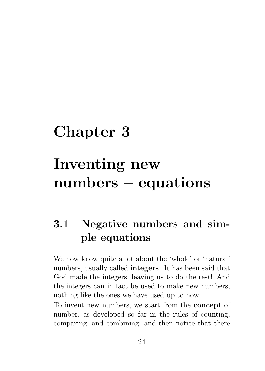# Chapter 3

# Inventing new numbers – equations

# 3.1 Negative numbers and simple equations

We now know quite a lot about the 'whole' or 'natural' numbers, usually called integers. It has been said that God made the integers, leaving us to do the rest! And the integers can in fact be used to make new numbers, nothing like the ones we have used up to now.

To invent new numbers, we start from the concept of number, as developed so far in the rules of counting, comparing, and combining; and then notice that there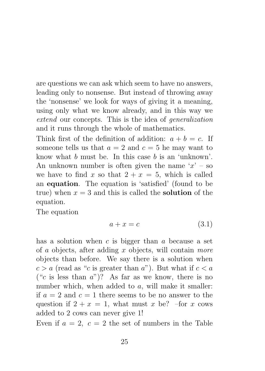are questions we can ask which seem to have no answers, leading only to nonsense. But instead of throwing away the 'nonsense' we look for ways of giving it a meaning, using only what we know already, and in this way we extend our concepts. This is the idea of generalization and it runs through the whole of mathematics.

Think first of the definition of addition:  $a + b = c$ . If someone tells us that  $a = 2$  and  $c = 5$  he may want to know what  $b$  must be. In this case  $b$  is an 'unknown'. An unknown number is often given the name  $x' - so$ we have to find x so that  $2 + x = 5$ , which is called an equation. The equation is 'satisfied' (found to be true) when  $x = 3$  and this is called the **solution** of the equation.

The equation

$$
a + x = c \tag{3.1}
$$

has a solution when  $c$  is bigger than  $a$  because a set of a objects, after adding x objects, will contain more objects than before. We say there is a solution when  $c > a$  (read as "c is greater than a"). But what if  $c < a$ ("c is less than  $a$ ")? As far as we know, there is no number which, when added to a, will make it smaller: if  $a = 2$  and  $c = 1$  there seems to be no answer to the question if  $2 + x = 1$ , what must x be? –for x cows added to 2 cows can never give 1!

Even if  $a = 2$ ,  $c = 2$  the set of numbers in the Table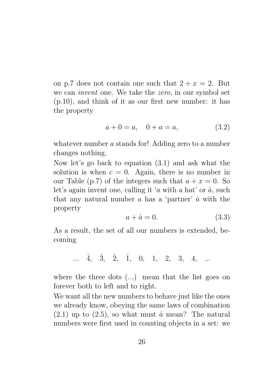on p.7 does not contain one such that  $2 + x = 2$ . But we can invent one. We take the zero, in our symbol set (p.10), and think of it as our first new number: it has the property

$$
a + 0 = a, \quad 0 + a = a,\tag{3.2}
$$

whatever number a stands for! Adding zero to a number changes nothing.

Now let's go back to equation (3.1) and ask what the solution is when  $c = 0$ . Again, there is no number in our Table (p.7) of the integers such that  $a + x = 0$ . So let's again invent one, calling it 'a with a hat' or  $\hat{a}$ , such that any natural number  $\alpha$  has a 'partner'  $\hat{\alpha}$  with the property

$$
a + \hat{a} = 0. \tag{3.3}
$$

As a result, the set of all our numbers is extended, becoming

$$
\ldots \quad \hat{4}, \quad \hat{3}, \quad \hat{2}, \quad \hat{1}, \quad 0, \quad 1, \quad 2, \quad 3, \quad 4, \quad \ldots
$$

where the three dots (...) mean that the list goes on forever both to left and to right.

We want all the new numbers to behave just like the ones we already know, obeying the same laws of combination  $(2.1)$  up to  $(2.5)$ , so what must  $\hat{a}$  mean? The natural numbers were first used in counting objects in a set: we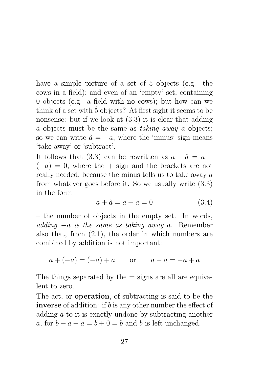have a simple picture of a set of 5 objects (e.g. the cows in a field); and even of an 'empty' set, containing 0 objects (e.g. a field with no cows); but how can we think of a set with  $\hat{5}$  objects? At first sight it seems to be nonsense: but if we look at (3.3) it is clear that adding  $\hat{a}$  objects must be the same as taking away a objects; so we can write  $\hat{a} = -a$ , where the 'minus' sign means 'take away' or 'subtract'.

It follows that (3.3) can be rewritten as  $a + \hat{a} = a +$  $(-a) = 0$ , where the + sign and the brackets are not really needed, because the minus tells us to take away a from whatever goes before it. So we usually write (3.3) in the form

$$
a + \hat{a} = a - a = 0 \tag{3.4}
$$

– the number of objects in the empty set. In words, adding  $-a$  is the same as taking away a. Remember also that, from (2.1), the order in which numbers are combined by addition is not important:

$$
a + (-a) = (-a) + a
$$
 or  $a - a = -a + a$ 

The things separated by the  $=$  signs are all are equivalent to zero.

The act, or operation, of subtracting is said to be the inverse of addition: if b is any other number the effect of adding a to it is exactly undone by subtracting another a, for  $b + a - a = b + 0 = b$  and b is left unchanged.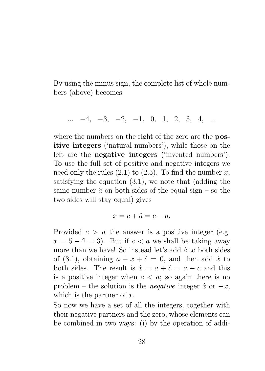By using the minus sign, the complete list of whole numbers (above) becomes

$$
\ldots \quad -4, \quad -3, \quad -2, \quad -1, \quad 0, \quad 1, \quad 2, \quad 3, \quad 4, \quad \ldots
$$

where the numbers on the right of the zero are the **pos**itive integers ('natural numbers'), while those on the left are the negative integers ('invented numbers'). To use the full set of positive and negative integers we need only the rules  $(2.1)$  to  $(2.5)$ . To find the number x, satisfying the equation (3.1), we note that (adding the same number  $\hat{a}$  on both sides of the equal sign – so the two sides will stay equal) gives

$$
x = c + \hat{a} = c - a.
$$

Provided  $c > a$  the answer is a positive integer (e.g.  $x = 5 - 2 = 3$ . But if  $c < a$  we shall be taking away more than we have! So instead let's add  $\hat{c}$  to both sides of (3.1), obtaining  $a + x + \hat{c} = 0$ , and then add  $\hat{x}$  to both sides. The result is  $\hat{x} = a + \hat{c} = a - c$  and this is a positive integer when  $c < a$ ; so again there is no problem – the solution is the *negative* integer  $\hat{x}$  or  $-x$ , which is the partner of  $x$ .

So now we have a set of all the integers, together with their negative partners and the zero, whose elements can be combined in two ways: (i) by the operation of addi-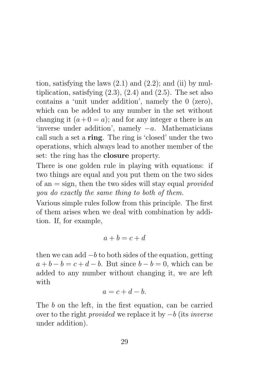tion, satisfying the laws  $(2.1)$  and  $(2.2)$ ; and  $(ii)$  by multiplication, satisfying  $(2.3)$ ,  $(2.4)$  and  $(2.5)$ . The set also contains a 'unit under addition', namely the 0 (zero), which can be added to any number in the set without changing it  $(a+0 = a)$ ; and for any integer a there is an 'inverse under addition', namely  $-a$ . Mathematicians call such a set a ring. The ring is 'closed' under the two operations, which always lead to another member of the set: the ring has the closure property.

There is one golden rule in playing with equations: if two things are equal and you put them on the two sides of an  $=$  sign, then the two sides will stay equal provided you do exactly the same thing to both of them.

Various simple rules follow from this principle. The first of them arises when we deal with combination by addition. If, for example,

$$
a + b = c + d
$$

then we can add  $-b$  to both sides of the equation, getting  $a + b - b = c + d - b$ . But since  $b - b = 0$ , which can be added to any number without changing it, we are left with

$$
a = c + d - b.
$$

The b on the left, in the first equation, can be carried over to the right *provided* we replace it by  $-b$  (its *inverse* under addition).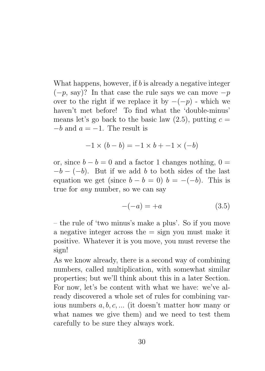What happens, however, if b is already a negative integer  $(-p, say)$ ? In that case the rule says we can move  $-p$ over to the right if we replace it by  $-(-p)$  - which we haven't met before! To find what the 'double-minus' means let's go back to the basic law  $(2.5)$ , putting  $c =$  $-b$  and  $a = -1$ . The result is

$$
-1 \times (b - b) = -1 \times b + -1 \times (-b)
$$

or, since  $b - b = 0$  and a factor 1 changes nothing,  $0 =$  $-b - (-b)$ . But if we add b to both sides of the last equation we get (since  $b - b = 0$ )  $b = -(-b)$ . This is true for any number, so we can say

$$
-(-a) = +a \tag{3.5}
$$

– the rule of 'two minus's make a plus'. So if you move a negative integer across the  $=$  sign you must make it positive. Whatever it is you move, you must reverse the sign!

As we know already, there is a second way of combining numbers, called multiplication, with somewhat similar properties; but we'll think about this in a later Section. For now, let's be content with what we have: we've already discovered a whole set of rules for combining various numbers  $a, b, c, \ldots$  (it doesn't matter how many or what names we give them) and we need to test them carefully to be sure they always work.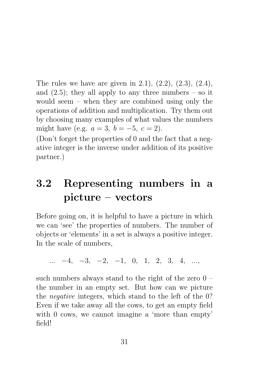The rules we have are given in 2.1), (2.2), (2.3), (2.4), and  $(2.5)$ ; they all apply to any three numbers – so it would seem – when they are combined using only the operations of addition and multiplication. Try them out by choosing many examples of what values the numbers might have (e.g.  $a = 3, b = -5, c = 2$ ).

(Don't forget the properties of 0 and the fact that a negative integer is the inverse under addition of its positive partner.)

## 3.2 Representing numbers in a picture – vectors

Before going on, it is helpful to have a picture in which we can 'see' the properties of numbers. The number of objects or 'elements' in a set is always a positive integer. In the scale of numbers,

 $\ldots$  −4, −3, −2, −1, 0, 1, 2, 3, 4, ...

such numbers always stand to the right of the zero 0 – the number in an empty set. But how can we picture the negative integers, which stand to the left of the 0? Even if we take away all the cows, to get an empty field with 0 cows, we cannot imagine a 'more than empty' field!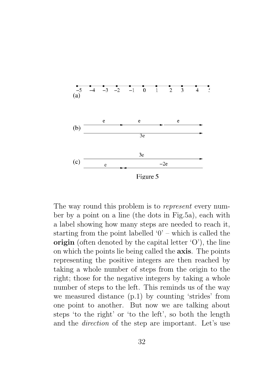

The way round this problem is to *represent* every number by a point on a line (the dots in Fig.5a), each with a label showing how many steps are needed to reach it, starting from the point labelled  $0'$  – which is called the origin (often denoted by the capital letter 'O'), the line on which the points lie being called the axis. The points representing the positive integers are then reached by taking a whole number of steps from the origin to the right; those for the negative integers by taking a whole number of steps to the left. This reminds us of the way we measured distance (p.1) by counting 'strides' from one point to another. But now we are talking about steps 'to the right' or 'to the left', so both the length and the direction of the step are important. Let's use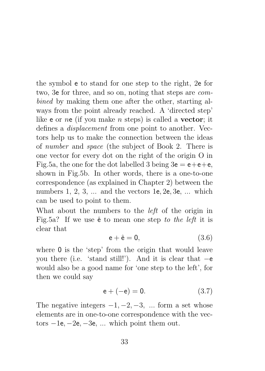the symbol e to stand for one step to the right, 2e for two, 3e for three, and so on, noting that steps are combined by making them one after the other, starting always from the point already reached. A 'directed step' like **e** or ne (if you make *n* steps) is called a **vector**; it defines a displacement from one point to another. Vectors help us to make the connection between the ideas of number and space (the subject of Book 2. There is one vector for every dot on the right of the origin O in Fig.5a, the one for the dot labelled 3 being  $3e = e + e + e$ , shown in Fig.5b. In other words, there is a one-to-one correspondence (as explained in Chapter 2) between the numbers 1, 2, 3, ... and the vectors 1e, 2e, 3e, ... which can be used to point to them.

What about the numbers to the *left* of the origin in Fig.5a? If we use  $\hat{e}$  to mean one step to the left it is clear that

$$
\mathsf{e} + \hat{\mathsf{e}} = \mathsf{0},\tag{3.6}
$$

where 0 is the 'step' from the origin that would leave you there (i.e. 'stand still!'). And it is clear that −e would also be a good name for 'one step to the left', for then we could say

$$
e + (-e) = 0. \t(3.7)
$$

The negative integers  $-1, -2, -3, \dots$  form a set whose elements are in one-to-one correspondence with the vectors  $-1e$ ,  $-2e$ ,  $-3e$ , ... which point them out.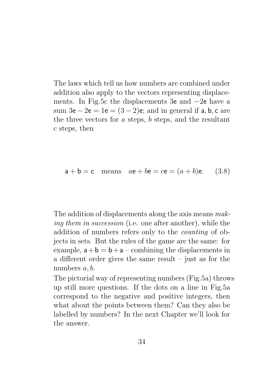The laws which tell us how numbers are combined under addition also apply to the vectors representing displacements. In Fig.5c the displacements 3e and −2e have a sum  $3e - 2e = 1e = (3 - 2)e$ ; and in general if a, b, c are the three vectors for  $a$  steps,  $b$  steps, and the resultant c steps, then

$$
a + b = c
$$
 means  $ae + be = ce = (a + b)e$ . (3.8)

The addition of displacements along the axis means making them in succession (i.e. one after another), while the addition of numbers refers only to the counting of objects in sets. But the rules of the game are the same: for example,  $a + b = b + a$  – combining the displacements in a different order gives the same result – just as for the numbers  $a, b$ .

The pictorial way of representing numbers (Fig.5a) throws up still more questions. If the dots on a line in Fig.5a correspond to the negative and positive integers, then what about the points between them? Can they also be labelled by numbers? In the next Chapter we'll look for the answer.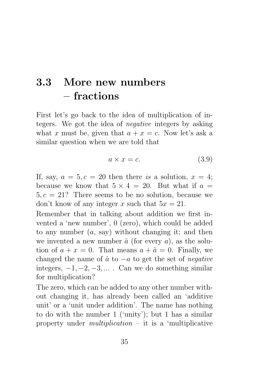#### 3.3 More new numbers – fractions

First let's go back to the idea of multiplication of integers. We got the idea of *negative* integers by asking what x must be, given that  $a + x = c$ . Now let's ask a similar question when we are told that

$$
a \times x = c. \tag{3.9}
$$

If, say,  $a = 5, c = 20$  then there is a solution,  $x = 4$ ; because we know that  $5 \times 4 = 20$ . But what if  $a =$  $5, c = 21$ ? There seems to be no solution, because we don't know of any integer x such that  $5x = 21$ .

Remember that in talking about addition we first invented a 'new number', 0 (zero), which could be added to any number  $(a, say)$  without changing it; and then we invented a new number  $\hat{a}$  (for every a), as the solution of  $a + x = 0$ . That means  $a + \hat{a} = 0$ . Finally, we changed the name of  $\hat{a}$  to  $-a$  to get the set of *negative* integers,  $-1, -2, -3, \ldots$ . Can we do something similar for multiplication?

The zero, which can be added to any other number without changing it, has already been called an 'additive unit' or a 'unit under addition'. The name has nothing to do with the number 1 ('unity'); but 1 has a similar property under *multiplication* – it is a 'multiplicative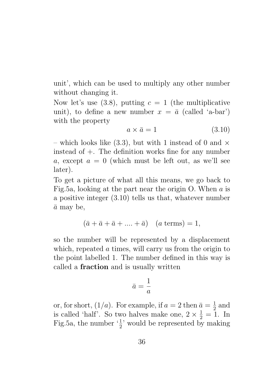unit', which can be used to multiply any other number without changing it.

Now let's use  $(3.8)$ , putting  $c = 1$  (the multiplicative unit), to define a new number  $x = \bar{a}$  (called 'a-bar') with the property

$$
a \times \bar{a} = 1 \tag{3.10}
$$

– which looks like (3.3), but with 1 instead of 0 and  $\times$ instead of  $+$ . The definition works fine for any number a, except  $a = 0$  (which must be left out, as we'll see later).

To get a picture of what all this means, we go back to Fig.5a, looking at the part near the origin O. When  $\alpha$  is a positive integer (3.10) tells us that, whatever number  $\bar{a}$  may be,

$$
(\bar{a} + \bar{a} + \bar{a} + \dots + \bar{a}) \quad (a \text{ terms}) = 1,
$$

so the number will be represented by a displacement which, repeated a times, will carry us from the origin to the point labelled 1. The number defined in this way is called a fraction and is usually written

$$
\bar{a} = \frac{1}{a}
$$

or, for short,  $(1/a)$ . For example, if  $a = 2$  then  $\bar{a} = \frac{1}{2}$  $rac{1}{2}$  and is called 'half'. So two halves make one,  $2 \times \frac{1}{2} = 1$ . In Fig.5a, the number  $\frac{1}{2}$  would be represented by making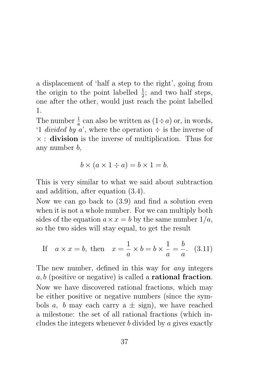a displacement of 'half a step to the right', going from the origin to the point labelled  $\frac{1}{2}$ ; and two half steps, one after the other, would just reach the point labelled 1.

The number  $\frac{1}{a}$  can also be written as  $(1 \div a)$  or, in words, '1 *divided by a*', where the operation  $\div$  is the inverse of  $\times$ : **division** is the inverse of multiplication. Thus for any number b,

$$
b \times (a \times 1 \div a) = b \times 1 = b.
$$

This is very similar to what we said about subtraction and addition, after equation (3.4).

Now we can go back to (3.9) and find a solution even when it is not a whole number. For we can multiply both sides of the equation  $a \times x = b$  by the same number  $1/a$ , so the two sides will stay equal, to get the result

If 
$$
a \times x = b
$$
, then  $x = \frac{1}{a} \times b = b \times \frac{1}{a} = \frac{b}{a}$ . (3.11)

The new number, defined in this way for any integers  $a, b$  (positive or negative) is called a **rational fraction**. Now we have discovered rational fractions, which may be either positive or negative numbers (since the symbols a, b may each carry a  $\pm$  sign), we have reached a milestone: the set of all rational fractions (which includes the integers whenever b divided by a gives exactly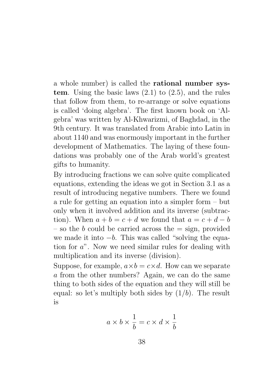a whole number) is called the rational number system. Using the basic laws  $(2.1)$  to  $(2.5)$ , and the rules that follow from them, to re-arrange or solve equations is called 'doing algebra'. The first known book on 'Algebra' was written by Al-Khwarizmi, of Baghdad, in the 9th century. It was translated from Arabic into Latin in about 1140 and was enormously important in the further development of Mathematics. The laying of these foundations was probably one of the Arab world's greatest gifts to humanity.

By introducing fractions we can solve quite complicated equations, extending the ideas we got in Section 3.1 as a result of introducing negative numbers. There we found a rule for getting an equation into a simpler form – but only when it involved addition and its inverse (subtraction). When  $a + b = c + d$  we found that  $a = c + d - b$ – so the b could be carried across the  $=$  sign, provided we made it into  $-b$ . This was called "solving the equation for a". Now we need similar rules for dealing with multiplication and its inverse (division).

Suppose, for example,  $a \times b = c \times d$ . How can we separate a from the other numbers? Again, we can do the same thing to both sides of the equation and they will still be equal: so let's multiply both sides by  $(1/b)$ . The result is

$$
a \times b \times \frac{1}{b} = c \times d \times \frac{1}{b}
$$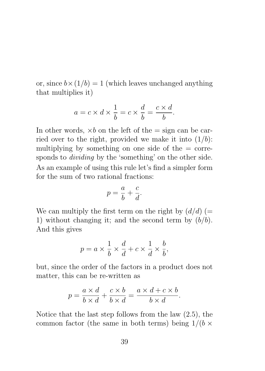or, since  $b \times (1/b) = 1$  (which leaves unchanged anything that multiplies it)

$$
a = c \times d \times \frac{1}{b} = c \times \frac{d}{b} = \frac{c \times d}{b}.
$$

In other words,  $\times b$  on the left of the  $=$  sign can be carried over to the right, provided we make it into  $(1/b)$ : multiplying by something on one side of the  $=$  corresponds to dividing by the 'something' on the other side. As an example of using this rule let's find a simpler form for the sum of two rational fractions:

$$
p = \frac{a}{b} + \frac{c}{d}.
$$

We can multiply the first term on the right by  $(d/d)$  (= 1) without changing it; and the second term by  $(b/b)$ . And this gives

$$
p = a \times \frac{1}{b} \times \frac{d}{d} + c \times \frac{1}{d} \times \frac{b}{b},
$$

but, since the order of the factors in a product does not matter, this can be re-written as

$$
p = \frac{a \times d}{b \times d} + \frac{c \times b}{b \times d} = \frac{a \times d + c \times b}{b \times d}.
$$

Notice that the last step follows from the law (2.5), the common factor (the same in both terms) being  $1/(b \times$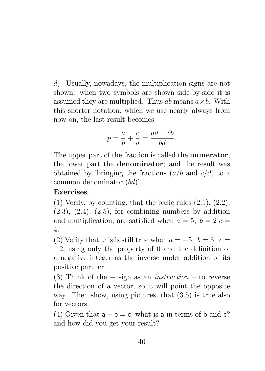d). Usually, nowadays, the multiplication signs are not shown: when two symbols are shown side-by-side it is assumed they are multiplied. Thus  $ab$  means  $a \times b$ . With this shorter notation, which we use nearly always from now on, the last result becomes

$$
p = \frac{a}{b} + \frac{c}{d} = \frac{ad + cb}{bd}.
$$

The upper part of the fraction is called the **numerator**, the lower part the denominator; and the result was obtained by 'bringing the fractions  $(a/b \text{ and } c/d)$  to a common denominator (bd)'.

#### Exercises

 $(1)$  Verify, by counting, that the basic rules  $(2.1)$ ,  $(2.2)$ ,  $(2.3)$ ,  $(2.4)$ ,  $(2.5)$ , for combining numbers by addition and multiplication, are satisfied when  $a = 5$ ,  $b = 2$  c 4.

(2) Verify that this is still true when  $a = -5$ ,  $b = 3$ ,  $c =$ −2, using only the property of 0 and the definition of a negative integer as the inverse under addition of its positive partner.

(3) Think of the  $-$  sign as an *instruction* – to reverse the direction of a vector, so it will point the opposite way. Then show, using pictures, that  $(3.5)$  is true also for vectors.

(4) Given that  $a - b = c$ , what is a in terms of b and c? and how did you get your result?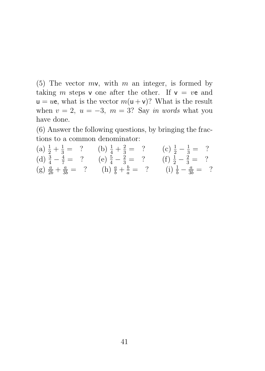(5) The vector  $mv$ , with m an integer, is formed by taking m steps v one after the other. If  $v = ve$  and  $u = ue$ , what is the vector  $m(u + v)$ ? What is the result when  $v = 2$ ,  $u = -3$ ,  $m = 3$ ? Say in words what you have done.

(6) Answer the following questions, by bringing the fractions to a common denominator:

| (a) $\frac{1}{2} + \frac{1}{3} = ?$ (b) $\frac{1}{4} + \frac{2}{3} = ?$   | (c) $\frac{1}{2} - \frac{1}{3} = ?$  |
|---------------------------------------------------------------------------|--------------------------------------|
| (d) $\frac{3}{4} - \frac{4}{7} = ?$ (e) $\frac{5}{4} - \frac{2}{3} = ?$   | (f) $\frac{1}{2} - \frac{2}{3} = ?$  |
| (g) $\frac{a}{2b} + \frac{a}{3b} = ?$ (h) $\frac{a}{b} + \frac{b}{a} = ?$ | (i) $\frac{1}{b} - \frac{a}{3b} = ?$ |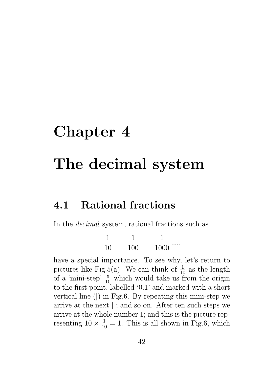# Chapter 4 The decimal system

#### 4.1 Rational fractions

In the decimal system, rational fractions such as

$$
\frac{1}{10} \qquad \frac{1}{100} \qquad \frac{1}{1000} \ldots
$$

have a special importance. To see why, let's return to pictures like Fig.5(a). We can think of  $\frac{1}{10}$  as the length of a 'mini-step'  $\frac{e}{10}$  which would take us from the origin to the first point, labelled '0.1' and marked with a short vertical line (|) in Fig.6. By repeating this mini-step we arrive at the next | ; and so on. After ten such steps we arrive at the whole number 1; and this is the picture representing  $10 \times \frac{1}{10} = 1$ . This is all shown in Fig.6, which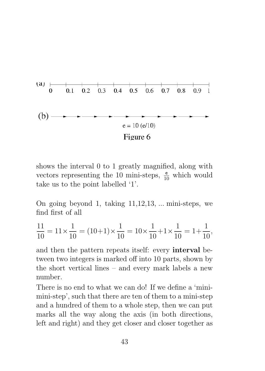

shows the interval 0 to 1 greatly magnified, along with vectors representing the 10 mini-steps,  $\frac{e}{10}$  which would take us to the point labelled '1'.

On going beyond 1, taking 11,12,13, ... mini-steps, we find first of all

$$
\frac{11}{10} = 11 \times \frac{1}{10} = (10+1) \times \frac{1}{10} = 10 \times \frac{1}{10} + 1 \times \frac{1}{10} = 1 + \frac{1}{10},
$$

and then the pattern repeats itself: every interval between two integers is marked off into 10 parts, shown by the short vertical lines – and every mark labels a new number.

There is no end to what we can do! If we define a 'minimini-step', such that there are ten of them to a mini-step and a hundred of them to a whole step, then we can put marks all the way along the axis (in both directions, left and right) and they get closer and closer together as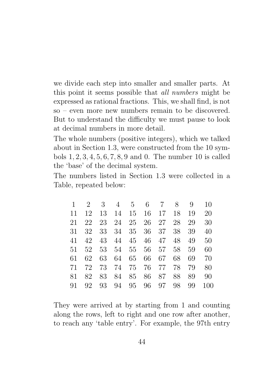we divide each step into smaller and smaller parts. At this point it seems possible that all numbers might be expressed as rational fractions. This, we shall find, is not so – even more new numbers remain to be discovered. But to understand the difficulty we must pause to look at decimal numbers in more detail.

The whole numbers (positive integers), which we talked about in Section 1.3, were constructed from the 10 symbols 1, 2, 3, 4, 5, 6, 7, 8, 9 and 0. The number 10 is called the 'base' of the decimal system.

The numbers listed in Section 1.3 were collected in a Table, repeated below:

|    | $2^{\circ}$ | 3  | 4  | $5-5$    |    | 6 7   | 8  | 9  | 10  |
|----|-------------|----|----|----------|----|-------|----|----|-----|
| 11 | 12          | 13 | 14 | 15       | 16 | 17    | 18 | 19 | 20  |
| 21 | 22          | 23 | 24 | 25       | 26 | 27    | 28 | 29 | 30  |
| 31 | 32          | 33 | 34 | 35       | 36 | 37    | 38 | 39 | 40  |
| 41 | 42          | 43 | 44 | 45       | 46 | 47    | 48 | 49 | 50  |
| 51 | 52          | 53 |    | 54 55    |    | 56 57 | 58 | 59 | 60  |
| 61 | 62          | 63 | 64 | 65       | 66 | 67    | 68 | 69 | 70  |
| 71 | 72          | 73 |    | 74 75 76 |    | 77    | 78 | 79 | 80  |
| 81 | 82          | 83 | 84 | 85       | 86 | 87    | 88 | 89 | 90  |
| 91 | 92          | 93 | 94 | 95       | 96 | 97    | 98 | 99 | 100 |

They were arrived at by starting from 1 and counting along the rows, left to right and one row after another, to reach any 'table entry'. For example, the 97th entry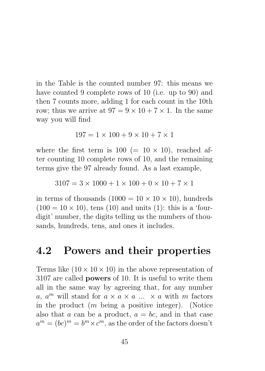in the Table is the counted number 97: this means we have counted 9 complete rows of 10 (i.e. up to 90) and then 7 counts more, adding 1 for each count in the 10th row; thus we arrive at  $97 = 9 \times 10 + 7 \times 1$ . In the same way you will find

$$
197 = 1 \times 100 + 9 \times 10 + 7 \times 1
$$

where the first term is  $100 (= 10 \times 10)$ , reached after counting 10 complete rows of 10, and the remaining terms give the 97 already found. As a last example,

 $3107 = 3 \times 1000 + 1 \times 100 + 0 \times 10 + 7 \times 1$ 

in terms of thousands  $(1000 = 10 \times 10 \times 10)$ , hundreds  $(100 = 10 \times 10)$ , tens  $(10)$  and units  $(1)$ : this is a 'fourdigit' number, the digits telling us the numbers of thousands, hundreds, tens, and ones it includes.

#### 4.2 Powers and their properties

Terms like  $(10 \times 10 \times 10)$  in the above representation of 3107 are called powers of 10. It is useful to write them all in the same way by agreeing that, for any number a,  $a^m$  will stand for  $a \times a \times a \dots \times a$  with m factors in the product  $(m)$  being a positive integer). (Notice also that a can be a product,  $a = bc$ , and in that case  $a^m = (bc)^m = b^m \times c^m$ , as the order of the factors doesn't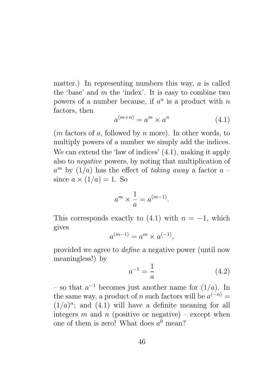matter.) In representing numbers this way, a is called the 'base' and  $m$  the 'index'. It is easy to combine two powers of a number because, if  $a^n$  is a product with n factors, then

$$
a^{(m+n)} = a^m \times a^n \tag{4.1}
$$

 $(m \text{ factors of } a, \text{ followed by } n \text{ more})$ . In other words, to multiply powers of a number we simply add the indices. We can extend the 'law of indices'  $(4.1)$ , making it apply also to negative powers, by noting that multiplication of  $a^m$  by  $(1/a)$  has the effect of taking away a factor  $a$ since  $a \times (1/a) = 1$ . So

$$
a^m \times \frac{1}{a} = a^{(m-1)}.
$$

This corresponds exactly to  $(4.1)$  with  $n = -1$ , which gives

$$
a^{(m-1)} = a^m \times a^{(-1)},
$$

provided we agree to define a negative power (until now meaningless!) by

$$
a^{-1} = \frac{1}{a} \tag{4.2}
$$

– so that  $a^{-1}$  becomes just another name for  $(1/a)$ . In the same way, a product of n such factors will be  $a^{(-n)} =$  $(1/a)^n$ ; and  $(4.1)$  will have a definite meaning for all integers m and n (positive or negative) – except when one of them is zero! What does  $a^0$  mean?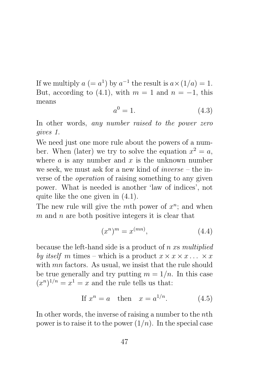If we multiply  $a (= a^1)$  by  $a^{-1}$  the result is  $a \times (1/a) = 1$ . But, according to (4.1), with  $m = 1$  and  $n = -1$ , this means

$$
a^0 = 1.\tag{4.3}
$$

In other words, any number raised to the power zero gives 1.

We need just one more rule about the powers of a number. When (later) we try to solve the equation  $x^2 = a$ , where  $a$  is any number and  $x$  is the unknown number we seek, we must ask for a new kind of  $inverse - the$  inverse of the operation of raising something to any given power. What is needed is another 'law of indices', not quite like the one given in (4.1).

The new rule will give the mth power of  $x^n$ ; and when  $m$  and  $n$  are both positive integers it is clear that

$$
(x^n)^m = x^{(mn)},\tag{4.4}
$$

because the left-hand side is a product of n xs multiplied by itself m times – which is a product  $x \times x \times x \dots \times x$ with *mn* factors. As usual, we insist that the rule should be true generally and try putting  $m = 1/n$ . In this case  $(x^n)^{1/n} = x^1 = x$  and the rule tells us that:

$$
If x^n = a \quad then \quad x = a^{1/n}.\tag{4.5}
$$

In other words, the inverse of raising a number to the nth power is to raise it to the power  $(1/n)$ . In the special case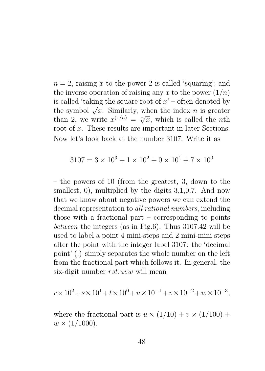$n = 2$ , raising x to the power 2 is called 'squaring'; and the inverse operation of raising any x to the power  $(1/n)$ is called 'taking the square root of  $x'$  – often denoted by the symbol  $\sqrt{x}$ . Similarly, when the index *n* is greater the symbol  $\nabla x$ . Similarly, when the index *h* is greater<br>than 2, we write  $x^{(1/n)} = \sqrt[n]{x}$ , which is called the *n*th root of x. These results are important in later Sections. Now let's look back at the number 3107. Write it as

$$
3107 = 3 \times 10^3 + 1 \times 10^2 + 0 \times 10^1 + 7 \times 10^0
$$

– the powers of 10 (from the greatest, 3, down to the smallest, 0), multiplied by the digits 3,1,0,7. And now that we know about negative powers we can extend the decimal representation to all rational numbers, including those with a fractional part – corresponding to points between the integers (as in Fig.6). Thus 3107.42 will be used to label a point 4 mini-steps and 2 mini-mini steps after the point with the integer label 3107: the 'decimal point' (.) simply separates the whole number on the left from the fractional part which follows it. In general, the six-digit number rst.uvw will mean

$$
r \times 10^{2} + s \times 10^{1} + t \times 10^{0} + u \times 10^{-1} + v \times 10^{-2} + w \times 10^{-3},
$$

where the fractional part is  $u \times (1/10) + v \times (1/100) +$  $w \times (1/1000)$ .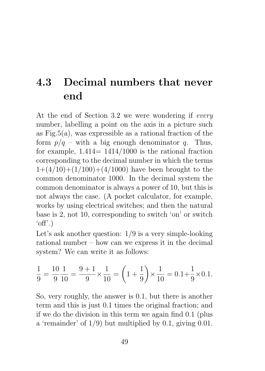## 4.3 Decimal numbers that never end

At the end of Section 3.2 we were wondering if every number, labelling a point on the axis in a picture such as  $Fig.5(a)$ , was expressible as a rational fraction of the form  $p/q$  – with a big enough denominator q. Thus, for example,  $1.414= 1414/1000$  is the rational fraction corresponding to the decimal number in which the terms  $1+(4/10)+(1/100)+(4/1000)$  have been brought to the common denominator 1000. In the decimal system the common denominator is always a power of 10, but this is not always the case. (A pocket calculator, for example, works by using electrical switches; and then the natural base is 2, not 10, corresponding to switch 'on' or switch  $'$ off'.)

Let's ask another question: 1/9 is a very simple-looking rational number – how can we express it in the decimal system? We can write it as follows:

$$
\frac{1}{9} = \frac{10}{9} \frac{1}{10} = \frac{9+1}{9} \times \frac{1}{10} = \left(1 + \frac{1}{9}\right) \times \frac{1}{10} = 0.1 + \frac{1}{9} \times 0.1.
$$

So, very roughly, the answer is 0.1, but there is another term and this is just 0.1 times the original fraction; and if we do the division in this term we again find 0.1 (plus a 'remainder' of 1/9) but multiplied by 0.1, giving 0.01.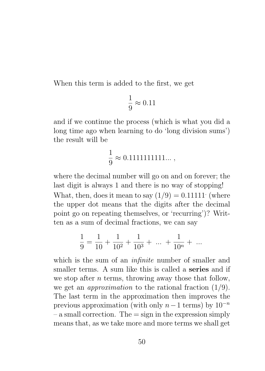When this term is added to the first, we get

$$
\frac{1}{9} \approx 0.11
$$

and if we continue the process (which is what you did a long time ago when learning to do 'long division sums') the result will be

$$
\frac{1}{9} \approx 0.1111111111\ldots\,,
$$

where the decimal number will go on and on forever; the last digit is always 1 and there is no way of stopping! What, then, does it mean to say  $(1/9) = 0.11111$  (where the upper dot means that the digits after the decimal point go on repeating themselves, or 'recurring')? Written as a sum of decimal fractions, we can say

$$
\frac{1}{9} = \frac{1}{10} + \frac{1}{10^2} + \frac{1}{10^3} + \dots + \frac{1}{10^n} + \dots
$$

which is the sum of an *infinite* number of smaller and smaller terms. A sum like this is called a series and if we stop after  $n$  terms, throwing away those that follow, we get an *approximation* to the rational fraction  $(1/9)$ . The last term in the approximation then improves the previous approximation (with only  $n-1$  terms) by  $10^{-n}$  $-$  a small correction. The  $=$  sign in the expression simply means that, as we take more and more terms we shall get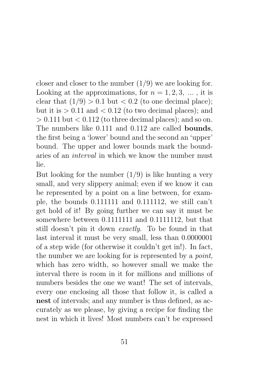closer and closer to the number  $(1/9)$  we are looking for. Looking at the approximations, for  $n = 1, 2, 3, \ldots$ , it is clear that  $(1/9) > 0.1$  but  $< 0.2$  (to one decimal place); but it is  $> 0.11$  and  $< 0.12$  (to two decimal places); and  $> 0.111$  but  $< 0.112$  (to three decimal places); and so on. The numbers like 0.111 and 0.112 are called bounds, the first being a 'lower' bound and the second an 'upper' bound. The upper and lower bounds mark the boundaries of an interval in which we know the number must lie.

But looking for the number  $(1/9)$  is like hunting a very small, and very slippery animal; even if we know it can be represented by a point on a line between, for example, the bounds 0.111111 and 0.111112, we still can't get hold of it! By going further we can say it must be somewhere between 0.11111111 and 0.1111112, but that still doesn't pin it down exactly. To be found in that last interval it must be very small, less than 0.0000001 of a step wide (for otherwise it couldn't get in!). In fact, the number we are looking for is represented by a *point*, which has zero width, so however small we make the interval there is room in it for millions and millions of numbers besides the one we want! The set of intervals, every one enclosing all those that follow it, is called a nest of intervals; and any number is thus defined, as accurately as we please, by giving a recipe for finding the nest in which it lives! Most numbers can't be expressed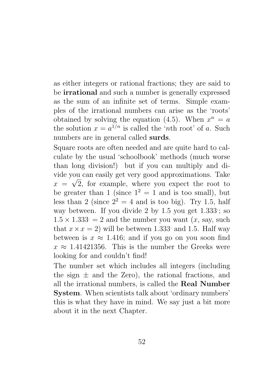as either integers or rational fractions; they are said to be irrational and such a number is generally expressed as the sum of an infinite set of terms. Simple examples of the irrational numbers can arise as the 'roots' obtained by solving the equation (4.5). When  $x^n = a$ the solution  $x = a^{1/n}$  is called the '*n*th root' of a. Such numbers are in general called surds.

Square roots are often needed and are quite hard to calculate by the usual 'schoolbook' methods (much worse than long division!) but if you can multiply and divide you can easily get very good approximations. Take √  $x = \sqrt{2}$ , for example, where you expect the root to be greater than 1 (since  $1^2 = 1$  and is too small), but less than 2 (since  $2^2 = 4$  and is too big). Try 1.5, half way between. If you divide 2 by 1.5 you get 1.333; so  $1.5 \times 1.333 = 2$  and the number you want  $(x, \text{say}, \text{such})$ that  $x \times x = 2$ ) will be between 1.333 and 1.5. Half way between is  $x \approx 1.416$ ; and if you go on you soon find  $x \approx 1.41421356$ . This is the number the Greeks were looking for and couldn't find!

The number set which includes all integers (including the sign  $\pm$  and the Zero), the rational fractions, and all the irrational numbers, is called the Real Number System. When scientists talk about 'ordinary numbers' this is what they have in mind. We say just a bit more about it in the next Chapter.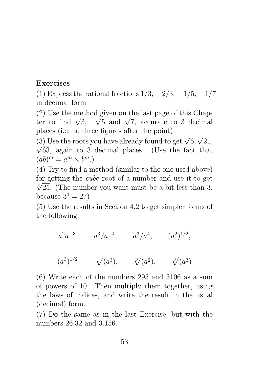#### Exercises

(1) Express the rational fractions  $1/3$ ,  $2/3$ ,  $1/5$ ,  $1/7$ in decimal form

(2) Use the method given on the last page of this Chap-(2) use the method given on the last page of this Unapter to find  $\sqrt{3}$ ,  $\sqrt{5}$  and  $\sqrt{7}$ , accurate to 3 decimal places (i.e. to three figures after the point). √

(3) Use the roots you have already found to get  $\sqrt{6}$ , (3) Use the roots you have already found to get  $\sqrt{6}$ ,  $\sqrt{21}$ ,  $\sqrt{63}$ , again to 3 decimal places. (Use the fact that  $(ab)^m = a^m \times b^m.$ 

(4) Try to find a method (similar to the one used above) for getting the *cube* root of a number and use it to get  $\frac{3}{25}$  (The number veu went must be a bit less than 2)  $\sqrt[3]{25}$ . (The number you want must be a bit less than 3, because  $3^3 = 27$ 

(5) Use the results in Section 4.2 to get simpler forms of the following:

 $a^2a^{-3}$ ,  $a^3/a^{-4}$ ,  $a^3/a^4$ ,  $(a^2)^{1/2}$ ,

$$
(a^3)^{1/2}
$$
,  $\sqrt{(a^3)}$ ,  $\sqrt[3]{(a^2)}$ ,  $\sqrt[3]{(a^3)}$ 

(6) Write each of the numbers 295 and 3106 as a sum of powers of 10. Then multiply them together, using the laws of indices, and write the result in the usual (decimal) form.

(7) Do the same as in the last Exercise, but with the numbers 26.32 and 3.156.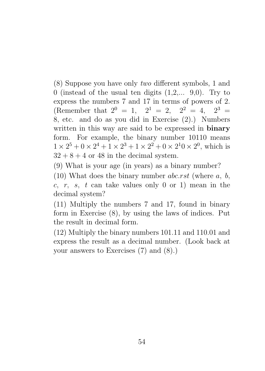(8) Suppose you have only two different symbols, 1 and 0 (instead of the usual ten digits  $(1,2,..., 9,0)$ . Try to express the numbers 7 and 17 in terms of powers of 2. (Remember that  $2^0 = 1$ ,  $2^1 = 2$ ,  $2^2 = 4$ ,  $2^3 = 1$ 8, etc. and do as you did in Exercise (2).) Numbers written in this way are said to be expressed in **binary** form. For example, the binary number 10110 means  $1 \times 2^5 + 0 \times 2^4 + 1 \times 2^3 + 1 \times 2^2 + 0 \times 2^10 \times 2^0$ , which is  $32 + 8 + 4$  or 48 in the decimal system.

(9) What is your age (in years) as a binary number?

(10) What does the binary number *abc.rst* (where  $a, b$ , c, r, s, t can take values only 0 or 1) mean in the decimal system?

(11) Multiply the numbers 7 and 17, found in binary form in Exercise (8), by using the laws of indices. Put the result in decimal form.

(12) Multiply the binary numbers 101.11 and 110.01 and express the result as a decimal number. (Look back at your answers to Exercises (7) and (8).)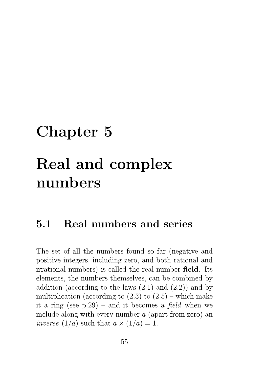## Chapter 5 Real and complex numbers

#### 5.1 Real numbers and series

The set of all the numbers found so far (negative and positive integers, including zero, and both rational and irrational numbers) is called the real number field. Its elements, the numbers themselves, can be combined by addition (according to the laws  $(2.1)$  and  $(2.2)$ ) and by multiplication (according to  $(2.3)$  to  $(2.5)$  – which make it a ring (see  $p.29$ ) – and it becomes a *field* when we include along with every number a (apart from zero) an inverse  $(1/a)$  such that  $a \times (1/a) = 1$ .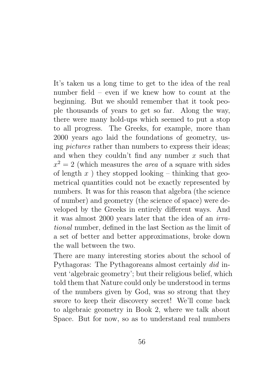It's taken us a long time to get to the idea of the real number field – even if we knew how to count at the beginning. But we should remember that it took people thousands of years to get so far. Along the way, there were many hold-ups which seemed to put a stop to all progress. The Greeks, for example, more than 2000 years ago laid the foundations of geometry, using pictures rather than numbers to express their ideas; and when they couldn't find any number  $x$  such that  $x^2 = 2$  (which measures the *area* of a square with sides of length  $x$ ) they stopped looking – thinking that geometrical quantities could not be exactly represented by numbers. It was for this reason that algebra (the science of number) and geometry (the science of space) were developed by the Greeks in entirely different ways. And it was almost 2000 years later that the idea of an irrational number, defined in the last Section as the limit of a set of better and better approximations, broke down the wall between the two.

There are many interesting stories about the school of Pythagoras: The Pythagoreans almost certainly did invent 'algebraic geometry'; but their religious belief, which told them that Nature could only be understood in terms of the numbers given by God, was so strong that they swore to keep their discovery secret! We'll come back to algebraic geometry in Book 2, where we talk about Space. But for now, so as to understand real numbers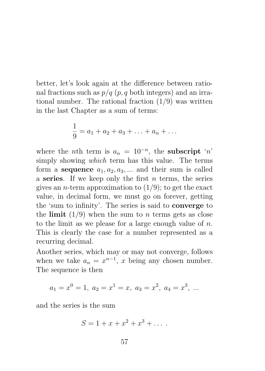better, let's look again at the difference between rational fractions such as  $p/q$  (p, q both integers) and an irrational number. The rational fraction  $(1/9)$  was written in the last Chapter as a sum of terms:

$$
\frac{1}{9} = a_1 + a_2 + a_3 + \ldots + a_n + \ldots
$$

where the *n*th term is  $a_n = 10^{-n}$ , the **subscript** '*n*' simply showing which term has this value. The terms form a **sequence**  $a_1, a_2, a_3, \dots$  and their sum is called a series. If we keep only the first  $n$  terms, the series gives an *n*-term approximation to  $(1/9)$ ; to get the exact value, in decimal form, we must go on forever, getting the 'sum to infinity'. The series is said to converge to the limit  $(1/9)$  when the sum to *n* terms gets as close to the limit as we please for a large enough value of  $n$ . This is clearly the case for a number represented as a recurring decimal.

Another series, which may or may not converge, follows when we take  $a_n = x^{n-1}$ , x being any chosen number. The sequence is then

$$
a_1 = x^0 = 1, a_2 = x^1 = x, a_3 = x^2, a_4 = x^3, ...
$$

and the series is the sum

$$
S = 1 + x + x^2 + x^3 + \dots
$$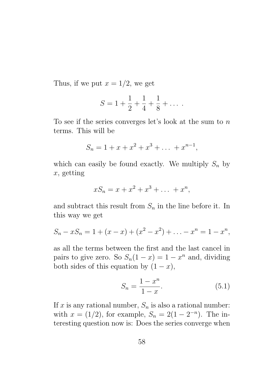Thus, if we put  $x = 1/2$ , we get

$$
S = 1 + \frac{1}{2} + \frac{1}{4} + \frac{1}{8} + \dots
$$

To see if the series converges let's look at the sum to n terms. This will be

$$
S_n = 1 + x + x^2 + x^3 + \dots + x^{n-1},
$$

which can easily be found exactly. We multiply  $S_n$  by x, getting

$$
xS_n = x + x^2 + x^3 + \dots + x^n,
$$

and subtract this result from  $S_n$  in the line before it. In this way we get

$$
S_n - xS_n = 1 + (x - x) + (x^2 - x^2) + \ldots - x^n = 1 - x^n,
$$

as all the terms between the first and the last cancel in pairs to give zero. So  $S_n(1-x) = 1-x^n$  and, dividing both sides of this equation by  $(1-x)$ ,

$$
S_n = \frac{1 - x^n}{1 - x}.
$$
\n(5.1)

If x is any rational number,  $S_n$  is also a rational number: with  $x = (1/2)$ , for example,  $S_n = 2(1 - 2^{-n})$ . The interesting question now is: Does the series converge when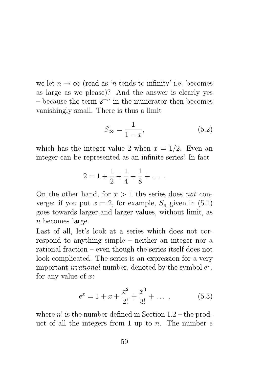we let  $n \to \infty$  (read as 'n tends to infinity' i.e. becomes as large as we please)? And the answer is clearly yes  $-$  because the term  $2^{-n}$  in the numerator then becomes vanishingly small. There is thus a limit

$$
S_{\infty} = \frac{1}{1 - x},\tag{5.2}
$$

which has the integer value 2 when  $x = 1/2$ . Even an integer can be represented as an infinite series! In fact

$$
2 = 1 + \frac{1}{2} + \frac{1}{4} + \frac{1}{8} + \dots
$$

On the other hand, for  $x > 1$  the series does not converge: if you put  $x = 2$ , for example,  $S_n$  given in (5.1) goes towards larger and larger values, without limit, as  $n$  becomes large.

Last of all, let's look at a series which does not correspond to anything simple – neither an integer nor a rational fraction – even though the series itself does not look complicated. The series is an expression for a very important *irrational* number, denoted by the symbol  $e^x$ , for any value of  $x$ :

$$
e^x = 1 + x + \frac{x^2}{2!} + \frac{x^3}{3!} + \dots \,, \tag{5.3}
$$

where  $n!$  is the number defined in Section  $1.2$  – the product of all the integers from 1 up to n. The number  $e$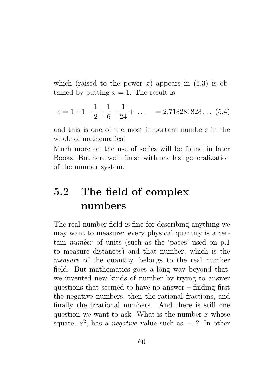which (raised to the power x) appears in  $(5.3)$  is obtained by putting  $x = 1$ . The result is

$$
e = 1 + 1 + \frac{1}{2} + \frac{1}{6} + \frac{1}{24} + \dots = 2.718281828\dots (5.4)
$$

and this is one of the most important numbers in the whole of mathematics!

Much more on the use of series will be found in later Books. But here we'll finish with one last generalization of the number system.

### 5.2 The field of complex numbers

The real number field is fine for describing anything we may want to measure: every physical quantity is a certain number of units (such as the 'paces' used on p.1 to measure distances) and that number, which is the measure of the quantity, belongs to the real number field. But mathematics goes a long way beyond that: we invented new kinds of number by trying to answer questions that seemed to have no answer – finding first the negative numbers, then the rational fractions, and finally the irrational numbers. And there is still one question we want to ask: What is the number  $x$  whose square,  $x^2$ , has a *negative* value such as  $-1$ ? In other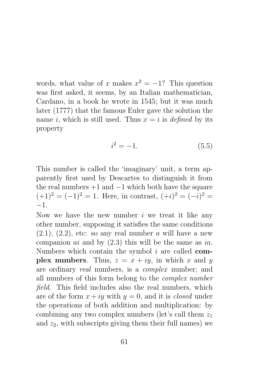words, what value of x makes  $x^2 = -1$ ? This question was first asked, it seems, by an Italian mathematician, Cardano, in a book he wrote in 1545; but it was much later (1777) that the famous Euler gave the solution the name i, which is still used. Thus  $x = i$  is defined by its property

$$
i^2 = -1.\t\t(5.5)
$$

This number is called the 'imaginary' unit, a term apparently first used by Descartes to distinguish it from the real numbers  $+1$  and  $-1$  which both have the square  $(+1)^2 = (-1)^2 = 1$ . Here, in contrast,  $(+i)^2 = (-i)^2 =$ −1.

Now we have the new number  $i$  we treat it like any other number, supposing it satisfies the same conditions  $(2.1), (2.2),$  etc: so any real number a will have a new companion  $ai$  and by  $(2.3)$  this will be the same as ia. Numbers which contain the symbol  $i$  are called **com**plex numbers. Thus,  $z = x + iy$ , in which x and y are ordinary real numbers, is a complex number; and all numbers of this form belong to the complex number field. This field includes also the real numbers, which are of the form  $x + iy$  with  $y = 0$ , and it is *closed* under the operations of both addition and multiplication: by combining any two complex numbers (let's call them  $z_1$ ) and  $z_2$ , with subscripts giving them their full names) we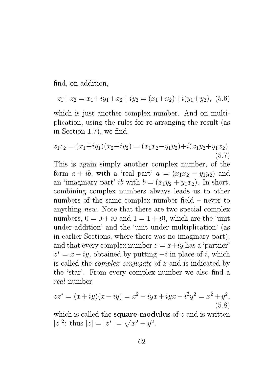find, on addition,

$$
z_1 + z_2 = x_1 + iy_1 + x_2 + iy_2 = (x_1 + x_2) + i(y_1 + y_2), (5.6)
$$

which is just another complex number. And on multiplication, using the rules for re-arranging the result (as in Section 1.7), we find

$$
z_1 z_2 = (x_1 + iy_1)(x_2 + iy_2) = (x_1 x_2 - y_1 y_2) + i(x_1 y_2 + y_1 x_2).
$$
\n(5.7)

This is again simply another complex number, of the form  $a + ib$ , with a 'real part'  $a = (x_1x_2 - y_1y_2)$  and an 'imaginary part' ib with  $b = (x_1y_2 + y_1x_2)$ . In short, combining complex numbers always leads us to other numbers of the same complex number field – never to anything new. Note that there are two special complex numbers,  $0 = 0 + i0$  and  $1 = 1 + i0$ , which are the 'unit under addition' and the 'unit under multiplication' (as in earlier Sections, where there was no imaginary part); and that every complex number  $z = x+iy$  has a 'partner'  $z^* = x - iy$ , obtained by putting  $-i$  in place of i, which is called the complex conjugate of z and is indicated by the 'star'. From every complex number we also find a real number

$$
zz^* = (x+iy)(x-iy) = x^2 - iyx + iyx - i^2y^2 = x^2 + y^2,
$$
\n(5.8)

which is called the **square modulus** of  $z$  and is written  $|z|^2$ : thus  $|z| = |z^*| = \sqrt{x^2 + y^2}$ .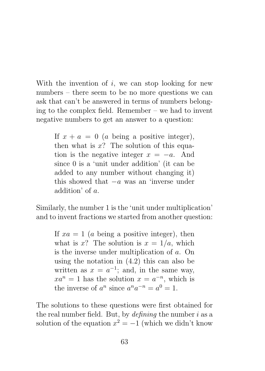With the invention of  $i$ , we can stop looking for new numbers – there seem to be no more questions we can ask that can't be answered in terms of numbers belonging to the complex field. Remember – we had to invent negative numbers to get an answer to a question:

If  $x + a = 0$  (a being a positive integer), then what is  $x$ ? The solution of this equation is the negative integer  $x = -a$ . And since 0 is a 'unit under addition' (it can be added to any number without changing it) this showed that  $-a$  was an 'inverse under addition' of a.

Similarly, the number 1 is the 'unit under multiplication' and to invent fractions we started from another question:

If  $xa = 1$  (a being a positive integer), then what is x? The solution is  $x = 1/a$ , which is the inverse under multiplication of a. On using the notation in (4.2) this can also be written as  $x = a^{-1}$ ; and, in the same way,  $xa^n = 1$  has the solution  $x = a^{-n}$ , which is the inverse of  $a^n$  since  $a^n a^{-n} = a^0 = 1$ .

The solutions to these questions were first obtained for the real number field. But, by  $defining$  the number i as a solution of the equation  $x^2 = -1$  (which we didn't know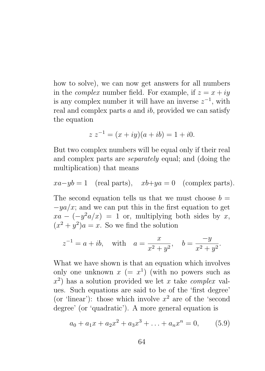how to solve), we can now get answers for all numbers in the *complex* number field. For example, if  $z = x + iy$ is any complex number it will have an inverse  $z^{-1}$ , with real and complex parts  $a$  and  $ib$ , provided we can satisfy the equation

$$
z z^{-1} = (x + iy)(a + ib) = 1 + i0.
$$

But two complex numbers will be equal only if their real and complex parts are separately equal; and (doing the multiplication) that means

$$
xa-yb=1
$$
 (real parts),  $xb+ya=0$  (complex parts).

The second equation tells us that we must choose  $b =$  $-ya/x$ ; and we can put this in the first equation to get  $xa - (-y^2 a/x) = 1$  or, multiplying both sides by x,  $(x^2 + y^2)a = x$ . So we find the solution

$$
z^{-1} = a + ib
$$
, with  $a = \frac{x}{x^2 + y^2}$ ,  $b = \frac{-y}{x^2 + y^2}$ .

What we have shown is that an equation which involves only one unknown  $x (= x^1)$  (with no powers such as  $x<sup>2</sup>$ ) has a solution provided we let x take complex values. Such equations are said to be of the 'first degree' (or 'linear'): those which involve  $x^2$  are of the 'second degree' (or 'quadratic'). A more general equation is

$$
a_0 + a_1 x + a_2 x^2 + a_3 x^3 + \ldots + a_n x^n = 0, \qquad (5.9)
$$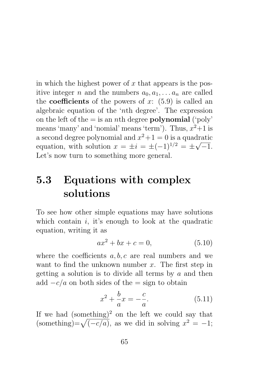in which the highest power of  $x$  that appears is the positive integer n and the numbers  $a_0, a_1, \ldots, a_n$  are called the **coefficients** of the powers of x:  $(5.9)$  is called an algebraic equation of the 'nth degree'. The expression on the left of the  $=$  is an *n*th degree **polynomial** ('poly' means 'many' and 'nomial' means 'term'). Thus,  $x^2+1$  is a second degree polynomial and  $x^2+1=0$  is a quadratic equation, with solution  $x = \pm i = \pm (-1)^{1/2} = \pm \sqrt{2}$ √  $^{\prime}-1.$ Let's now turn to something more general.

# 5.3 Equations with complex solutions

To see how other simple equations may have solutions which contain  $i$ , it's enough to look at the quadratic equation, writing it as

$$
ax^2 + bx + c = 0,
$$
 (5.10)

where the coefficients  $a, b, c$  are real numbers and we want to find the unknown number  $x$ . The first step in getting a solution is to divide all terms by a and then add  $-c/a$  on both sides of the = sign to obtain

$$
x^{2} + \frac{b}{a}x = -\frac{c}{a}.
$$
 (5.11)

If we had  $(something)^2$  on the left we could say that (something)= $\sqrt{(-c/a)}$ , as we did in solving  $x^2 = -1$ ;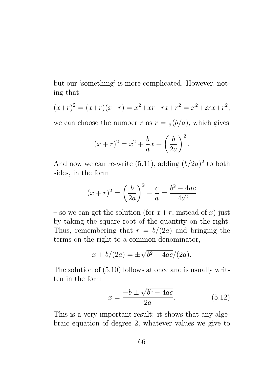but our 'something' is more complicated. However, noting that

$$
(x+r)^2 = (x+r)(x+r) = x^2 + xr + rx + r^2 = x^2 + 2rx + r^2,
$$

we can choose the number r as  $r=\frac{1}{2}$  $\frac{1}{2}(b/a)$ , which gives

$$
(x+r)^{2} = x^{2} + \frac{b}{a}x + \left(\frac{b}{2a}\right)^{2}.
$$

And now we can re-write  $(5.11)$ , adding  $(b/2a)^2$  to both sides, in the form

$$
(x+r)^{2} = \left(\frac{b}{2a}\right)^{2} - \frac{c}{a} = \frac{b^{2} - 4ac}{4a^{2}}
$$

– so we can get the solution (for  $x+r$ , instead of x) just by taking the square root of the quantity on the right. Thus, remembering that  $r = b/(2a)$  and bringing the terms on the right to a common denominator,

$$
x + b/(2a) = \pm \sqrt{b^2 - 4ac}/(2a).
$$

The solution of (5.10) follows at once and is usually written in the form

$$
x = \frac{-b \pm \sqrt{b^2 - 4ac}}{2a}.
$$
 (5.12)

This is a very important result: it shows that any algebraic equation of degree 2, whatever values we give to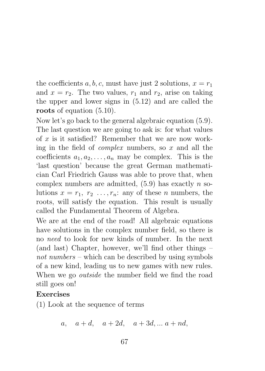the coefficients a, b, c, must have just 2 solutions,  $x = r_1$ and  $x = r_2$ . The two values,  $r_1$  and  $r_2$ , arise on taking the upper and lower signs in (5.12) and are called the roots of equation  $(5.10)$ .

Now let's go back to the general algebraic equation (5.9). The last question we are going to ask is: for what values of  $x$  is it satisfied? Remember that we are now working in the field of *complex* numbers, so  $x$  and all the coefficients  $a_1, a_2, \ldots, a_n$  may be complex. This is the 'last question' because the great German mathematician Carl Friedrich Gauss was able to prove that, when complex numbers are admitted,  $(5.9)$  has exactly n solutions  $x = r_1, r_2, \ldots, r_n$ : any of these *n* numbers, the roots, will satisfy the equation. This result is usually called the Fundamental Theorem of Algebra.

We are at the end of the road! All algebraic equations have solutions in the complex number field, so there is no need to look for new kinds of number. In the next (and last) Chapter, however, we'll find other things – not numbers – which can be described by using symbols of a new kind, leading us to new games with new rules. When we go *outside* the number field we find the road still goes on!

#### Exercises

(1) Look at the sequence of terms

a,  $a + d$ ,  $a + 2d$ ,  $a + 3d$ ,  $a + nd$ ,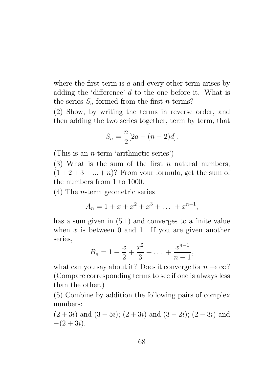where the first term is  $a$  and every other term arises by adding the 'difference' d to the one before it. What is the series  $S_n$  formed from the first *n* terms?

(2) Show, by writing the terms in reverse order, and then adding the two series together, term by term, that

$$
S_n = \frac{n}{2} [2a + (n-2)d].
$$

(This is an n-term 'arithmetic series')

(3) What is the sum of the first  $n$  natural numbers,  $(1+2+3+\ldots+n)$ ? From your formula, get the sum of the numbers from 1 to 1000.

(4) The n-term geometric series

$$
A_n = 1 + x + x^2 + x^3 + \dots + x^{n-1},
$$

has a sum given in (5.1) and converges to a finite value when  $x$  is between 0 and 1. If you are given another series,

$$
B_n = 1 + \frac{x}{2} + \frac{x^2}{3} + \dots + \frac{x^{n-1}}{n-1},
$$

what can you say about it? Does it converge for  $n \to \infty$ ? (Compare corresponding terms to see if one is always less than the other.)

(5) Combine by addition the following pairs of complex numbers:

 $(2+3i)$  and  $(3-5i)$ ;  $(2+3i)$  and  $(3-2i)$ ;  $(2-3i)$  and  $-(2+3i)$ .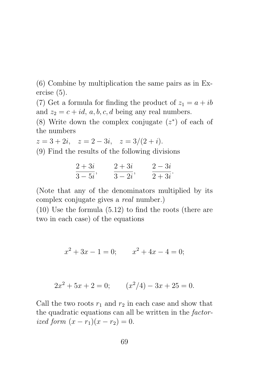(6) Combine by multiplication the same pairs as in Exercise (5).

(7) Get a formula for finding the product of  $z_1 = a + ib$ and  $z_2 = c + id$ , a, b, c, d being any real numbers.

(8) Write down the complex conjugate  $(z^*)$  of each of the numbers

$$
z = 3 + 2i
$$
,  $z = 2 - 3i$ ,  $z = 3/(2 + i)$ .

(9) Find the results of the following divisions

$$
\frac{2+3i}{3-5i}, \qquad \frac{2+3i}{3-2i}, \qquad \frac{2-3i}{2+3i}.
$$

(Note that any of the denominators multiplied by its complex conjugate gives a real number.)

(10) Use the formula (5.12) to find the roots (there are two in each case) of the equations

$$
x^2 + 3x - 1 = 0; \qquad x^2 + 4x - 4 = 0;
$$

$$
2x^2 + 5x + 2 = 0; \qquad (x^2/4) - 3x + 25 = 0.
$$

Call the two roots  $r_1$  and  $r_2$  in each case and show that the quadratic equations can all be written in the factorized form  $(x - r_1)(x - r_2) = 0$ .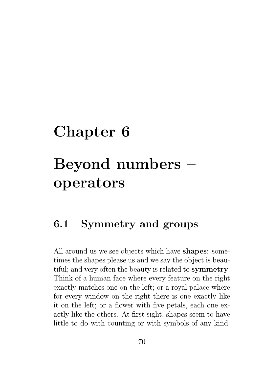# Chapter 6 Beyond numbers – operators

### 6.1 Symmetry and groups

All around us we see objects which have shapes: sometimes the shapes please us and we say the object is beautiful; and very often the beauty is related to symmetry. Think of a human face where every feature on the right exactly matches one on the left; or a royal palace where for every window on the right there is one exactly like it on the left; or a flower with five petals, each one exactly like the others. At first sight, shapes seem to have little to do with counting or with symbols of any kind.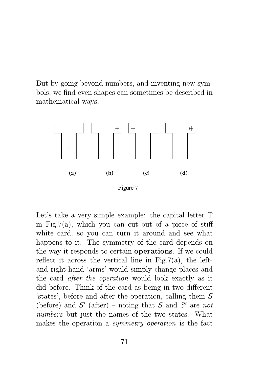But by going beyond numbers, and inventing new symbols, we find even shapes can sometimes be described in mathematical ways.



Figure 7

Let's take a very simple example: the capital letter T in Fig.7(a), which you can cut out of a piece of stiff white card, so you can turn it around and see what happens to it. The symmetry of the card depends on the way it responds to certain operations. If we could reflect it across the vertical line in Fig.7(a), the leftand right-hand 'arms' would simply change places and the card after the operation would look exactly as it did before. Think of the card as being in two different 'states', before and after the operation, calling them S (before) and  $S'$  (after) – noting that S and S' are not numbers but just the names of the two states. What makes the operation a symmetry operation is the fact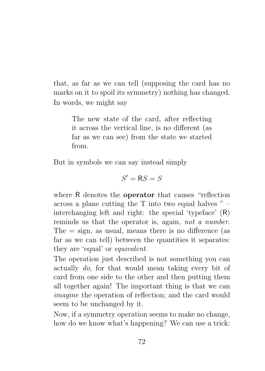that, as far as we can tell (supposing the card has no marks on it to spoil its symmetry) nothing has changed. In words, we might say

> The new state of the card, after reflecting it across the vertical line, is no different (as far as we can see) from the state we started from.

But in symbols we can say instead simply

$$
S'=\mathsf{R} S=S
$$

where R denotes the operator that causes "reflection across a plane cutting the  $T$  into two equal halves  $"$  – interchanging left and right: the special 'typeface' (R) reminds us that the operator is, again, not a number. The  $=$  sign, as usual, means there is no difference (as far as we can tell) between the quantities it separates: they are 'equal' or equivalent.

The operation just described is not something you can actually do, for that would mean taking every bit of card from one side to the other and then putting them all together again! The important thing is that we can imagine the operation of reflection; and the card would seem to be unchanged by it.

Now, if a symmetry operation seems to make no change, how do we know what's happening? We can use a trick: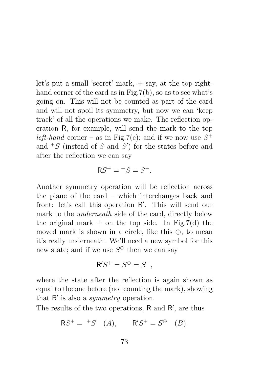let's put a small 'secret' mark, + say, at the top righthand corner of the card as in Fig.7(b), so as to see what's going on. This will not be counted as part of the card and will not spoil its symmetry, but now we can 'keep track' of all the operations we make. The reflection operation R, for example, will send the mark to the top left-hand corner – as in Fig.7(c); and if we now use  $S^+$ and  ${}^+S$  (instead of S and S') for the states before and after the reflection we can say

$$
RS^+ = {}^+S = S^+.
$$

Another symmetry operation will be reflection across the plane of the card – which interchanges back and front: let's call this operation R'. This will send our mark to the underneath side of the card, directly below the original mark  $+$  on the top side. In Fig.7(d) the moved mark is shown in a circle, like this ⊕, to mean it's really underneath. We'll need a new symbol for this new state; and if we use  $S^{\oplus}$  then we can say

$$
\mathsf{R}'S^+ = S^{\oplus} = S^+,
$$

where the state after the reflection is again shown as equal to the one before (not counting the mark), showing that  $R'$  is also a *symmetry* operation.

The results of the two operations,  $R$  and  $R'$ , are thus

$$
RS^+ = {}^+S \quad (A), \qquad R'S^+ = S^{\oplus} \quad (B).
$$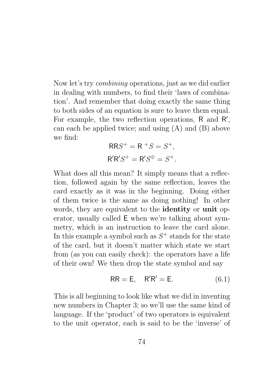Now let's try combining operations, just as we did earlier in dealing with numbers, to find their 'laws of combination'. And remember that doing exactly the same thing to both sides of an equation is sure to leave them equal. For example, the two reflection operations,  $R$  and  $R'$ , can each be applied twice; and using (A) and (B) above we find:

$$
RRS^{+} = R^{+}S = S^{+},
$$
  

$$
R'R'S^{+} = R'S^{\oplus} = S^{+}.
$$

What does all this mean? It simply means that a reflection, followed again by the same reflection, leaves the card exactly as it was in the beginning. Doing either of them twice is the same as doing nothing! In other words, they are equivalent to the identity or unit operator, usually called E when we're talking about symmetry, which is an instruction to leave the card alone. In this example a symbol such as  $S^+$  stands for the state of the card, but it doesn't matter which state we start from (as you can easily check): the operators have a life of their own! We then drop the state symbol and say

$$
RR = E, \quad R'R' = E. \tag{6.1}
$$

This is all beginning to look like what we did in inventing new numbers in Chapter 3; so we'll use the same kind of language. If the 'product' of two operators is equivalent to the unit operator, each is said to be the 'inverse' of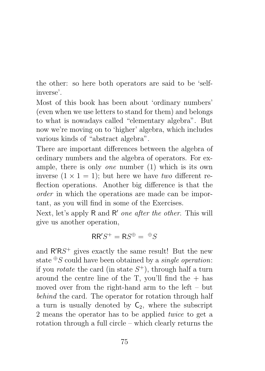the other: so here both operators are said to be 'selfinverse'.

Most of this book has been about 'ordinary numbers' (even when we use letters to stand for them) and belongs to what is nowadays called "elementary algebra". But now we're moving on to 'higher' algebra, which includes various kinds of "abstract algebra".

There are important differences between the algebra of ordinary numbers and the algebra of operators. For example, there is only one number (1) which is its own inverse  $(1 \times 1 = 1)$ ; but here we have two different reflection operations. Another big difference is that the order in which the operations are made can be important, as you will find in some of the Exercises.

Next, let's apply R and R' one after the other. This will give us another operation,

$$
RR'S^{+} = RS^{\oplus} = {}^{\oplus}S
$$

and  $R'RS<sup>+</sup>$  gives exactly the same result! But the new state  $\mathcal{E}S$  could have been obtained by a *single operation*: if you *rotate* the card (in state  $S^+$ ), through half a turn around the centre line of the T, you'll find the  $+$  has moved over from the right-hand arm to the left – but behind the card. The operator for rotation through half a turn is usually denoted by  $C_2$ , where the subscript 2 means the operator has to be applied twice to get a rotation through a full circle – which clearly returns the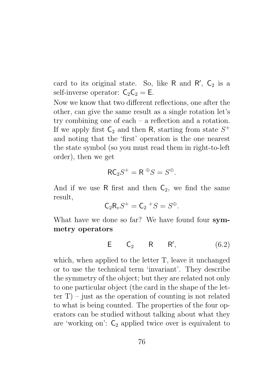card to its original state. So, like  $R$  and  $R'$ ,  $C_2$  is a self-inverse operator:  $C_2C_2 = E$ .

Now we know that two different reflections, one after the other, can give the same result as a single rotation let's try combining one of each – a reflection and a rotation. If we apply first  $C_2$  and then R, starting from state  $S^+$ and noting that the 'first' operation is the one nearest the state symbol (so you must read them in right-to-left order), then we get

$$
\mathsf{RC}_2S^+ = \mathsf{R} \,^{\oplus} S = S^{\oplus}.
$$

And if we use R first and then  $C_2$ , we find the same result,

$$
\mathsf{C}_2\mathsf{R}_vS^+=\mathsf{C}_2\ {}^+S=S^{\oplus}.
$$

What have we done so far? We have found four symmetry operators

$$
\mathsf{E} \qquad \mathsf{C}_2 \qquad \mathsf{R} \qquad \mathsf{R}', \tag{6.2}
$$

which, when applied to the letter T, leave it unchanged or to use the technical term 'invariant'. They describe the symmetry of the object; but they are related not only to one particular object (the card in the shape of the letter  $T$ ) – just as the operation of counting is not related to what is being counted. The properties of the four operators can be studied without talking about what they are 'working on':  $C_2$  applied twice over is equivalent to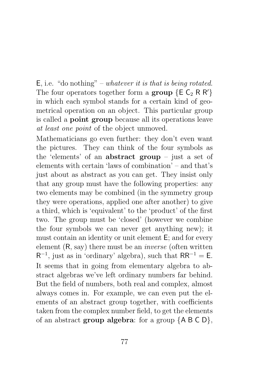$E$ , i.e. "do nothing" – whatever it is that is being rotated. The four operators together form a group  $\{E \ C_2 R R'\}$ in which each symbol stands for a certain kind of geometrical operation on an object. This particular group is called a point group because all its operations leave at least one point of the object unmoved.

Mathematicians go even further: they don't even want the pictures. They can think of the four symbols as the 'elements' of an abstract group – just a set of elements with certain 'laws of combination' – and that's just about as abstract as you can get. They insist only that any group must have the following properties: any two elements may be combined (in the symmetry group they were operations, applied one after another) to give a third, which is 'equivalent' to the 'product' of the first two. The group must be 'closed' (however we combine the four symbols we can never get anything new); it must contain an identity or unit element E; and for every element (R, say) there must be an inverse (often written  $R^{-1}$ , just as in 'ordinary' algebra), such that  $RR^{-1} = E$ . It seems that in going from elementary algebra to abstract algebras we've left ordinary numbers far behind. But the field of numbers, both real and complex, almost always comes in. For example, we can even put the elements of an abstract group together, with coefficients taken from the complex number field, to get the elements of an abstract group algebra: for a group  ${AB \in D}$ ,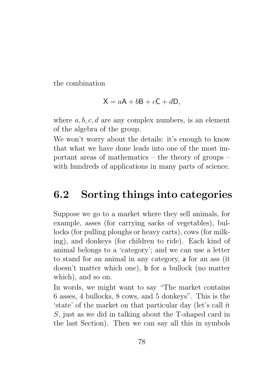the combination

$$
X = aA + bB + cC + dD,
$$

where  $a, b, c, d$  are any complex numbers, is an element of the algebra of the group.

We won't worry about the details: it's enough to know that what we have done leads into one of the most important areas of mathematics – the theory of groups – with hundreds of applications in many parts of science.

### 6.2 Sorting things into categories

Suppose we go to a market where they sell animals, for example, asses (for carrying sacks of vegetables), bullocks (for pulling ploughs or heavy carts), cows (for milking), and donkeys (for children to ride). Each kind of animal belongs to a 'category'; and we can use a letter to stand for an animal in any category, a for an ass (it doesn't matter which one), b for a bullock (no matter which), and so on.

In words, we might want to say "The market contains 6 asses, 4 bullocks, 8 cows, and 5 donkeys". This is the 'state' of the market on that particular day (let's call it S, just as we did in talking about the T-shaped card in the last Section). Then we can say all this in symbols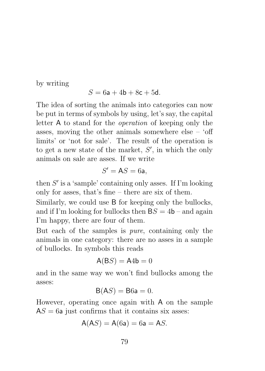by writing

$$
S = 6\mathsf{a} + 4\mathsf{b} + 8\mathsf{c} + 5\mathsf{d}.
$$

The idea of sorting the animals into categories can now be put in terms of symbols by using, let's say, the capital letter A to stand for the operation of keeping only the asses, moving the other animals somewhere else – 'off limits' or 'not for sale'. The result of the operation is to get a new state of the market,  $S'$ , in which the only animals on sale are asses. If we write

$$
S' = \mathsf{A} S = 6\mathsf{a},
$$

then  $S'$  is a 'sample' containing only asses. If I'm looking only for asses, that's fine – there are six of them.

Similarly, we could use B for keeping only the bullocks, and if I'm looking for bullocks then  $BS = 4b$  – and again I'm happy, there are four of them.

But each of the samples is pure, containing only the animals in one category: there are no asses in a sample of bullocks. In symbols this reads

$$
A(BS) = A4b = 0
$$

and in the same way we won't find bullocks among the asses:

$$
B(AS) = B6a = 0.
$$

However, operating once again with A on the sample  $AS = 6a$  just confirms that it contains six asses:

$$
\mathsf{A}(AS) = \mathsf{A}(6\mathsf{a}) = 6\mathsf{a} = \mathsf{A}S.
$$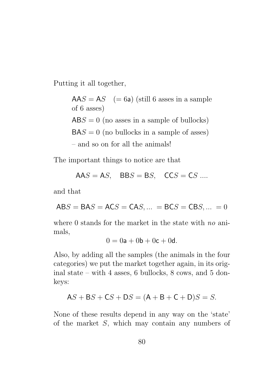Putting it all together,

 $AAS = AS$  (= 6a) (still 6 asses in a sample of 6 asses)  $ABS = 0$  (no asses in a sample of bullocks)  $BAS = 0$  (no bullocks in a sample of asses) – and so on for all the animals!

The important things to notice are that

$$
AAS = AS, \quad BBS = BS, \quad CCS = CS \dots
$$

and that

$$
ABS = BAS = ACS = CAS, ... = BCS = CBS, ... = 0
$$

where 0 stands for the market in the state with no animals,

$$
0 = 0\mathsf{a} + 0\mathsf{b} + 0\mathsf{c} + 0\mathsf{d}.
$$

Also, by adding all the samples (the animals in the four categories) we put the market together again, in its original state – with 4 asses, 6 bullocks, 8 cows, and 5 donkeys:

$$
AS + BS + CS + DS = (A + B + C + D)S = S.
$$

None of these results depend in any way on the 'state' of the market S, which may contain any numbers of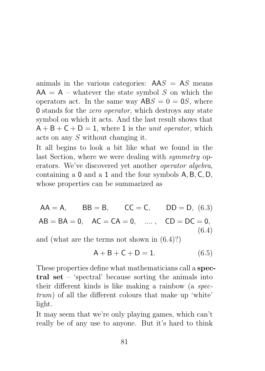animals in the various categories:  $AAS = AS$  means  $AA = A$  – whatever the state symbol S on which the operators act. In the same way  $\mathsf{ABS}=0=\mathsf{OS}$ , where 0 stands for the zero operator, which destroys any state symbol on which it acts. And the last result shows that  $A + B + C + D = 1$ , where 1 is the *unit operator*, which acts on any S without changing it.

It all begins to look a bit like what we found in the last Section, where we were dealing with *symmetry* operators. We've discovered yet another operator algebra, containing a 0 and a 1 and the four symbols A, B, C, D, whose properties can be summarized as

 $AA = A$ ,  $BB = B$ ,  $CC = C$ ,  $DD = D$ , (6.3)  $AB = BA = 0$ ,  $AC = CA = 0$ , ...,  $CD = DC = 0$ , (6.4)

and (what are the terms not shown in (6.4)?)

$$
A + B + C + D = 1.
$$
 (6.5)

These properties define what mathematicians call a spectral set – 'spectral' because sorting the animals into their different kinds is like making a rainbow (a spectrum) of all the different colours that make up 'white' light.

It may seem that we're only playing games, which can't really be of any use to anyone. But it's hard to think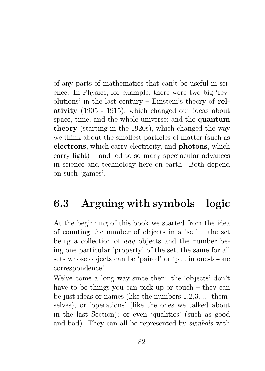of any parts of mathematics that can't be useful in science. In Physics, for example, there were two big 'revolutions' in the last century – Einstein's theory of relativity (1905 - 1915), which changed our ideas about space, time, and the whole universe; and the quantum theory (starting in the 1920s), which changed the way we think about the smallest particles of matter (such as electrons, which carry electricity, and photons, which carry light) – and led to so many spectacular advances in science and technology here on earth. Both depend on such 'games'.

## 6.3 Arguing with symbols – logic

At the beginning of this book we started from the idea of counting the number of objects in a 'set' – the set being a collection of any objects and the number being one particular 'property' of the set, the same for all sets whose objects can be 'paired' or 'put in one-to-one correspondence'.

We've come a long way since then: the 'objects' don't have to be things you can pick up or touch – they can be just ideas or names (like the numbers 1,2,3,... themselves), or 'operations' (like the ones we talked about in the last Section); or even 'qualities' (such as good and bad). They can all be represented by symbols with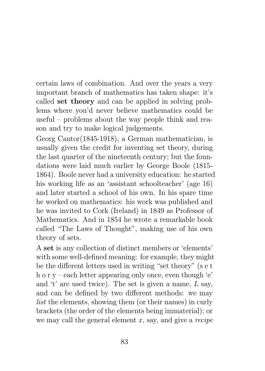certain laws of combination. And over the years a very important branch of mathematics has taken shape: it's called set theory and can be applied in solving problems where you'd never believe mathematics could be useful – problems about the way people think and reason and try to make logical judgements.

Georg Cantor(1845-1918), a German mathematician, is usually given the credit for inventing set theory, during the last quarter of the nineteenth century; but the foundations were laid much earlier by George Boole (1815- 1864). Boole never had a university education: he started his working life as an 'assistant schoolteacher' (age 16) and later started a school of his own. In his spare time he worked on mathematics: his work was published and he was invited to Cork (Ireland) in 1849 as Professor of Mathematics. And in 1854 he wrote a remarkable book called "The Laws of Thought", making use of his own theory of sets.

A set is any collection of distinct members or 'elements' with some well-defined meaning: for example, they might be the different letters used in writing "set theory" (s e t h o r y – each letter appearing only once, even though 'e' and 't' are used twice). The set is given a name,  $L$  say, and can be defined by two different methods: we may list the elements, showing them (or their names) in curly brackets (the order of the elements being immaterial); or we may call the general element  $x$ , say, and give a *recipe*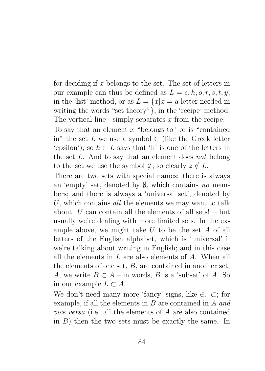for deciding if x belongs to the set. The set of letters in our example can thus be defined as  $L = e, h, o, r, s, t, y$ , in the 'list' method, or as  $L = \{x | x = a \text{ letter needed in} \}$ writing the words "set theory"}, in the 'recipe' method. The vertical line  $\vert$  simply separates x from the recipe.

To say that an element  $x$  "belongs to" or is "contained" in" the set L we use a symbol  $\in$  (like the Greek letter 'epsilon'); so  $h \in L$  says that 'h' is one of the letters in the set L. And to say that an element does not belong to the set we use the symbol  $\notin$ ; so clearly  $z \notin L$ .

There are two sets with special names: there is always an 'empty' set, denoted by  $\emptyset$ , which contains no members; and there is always a 'universal set', denoted by U, which contains all the elements we may want to talk about.  $U$  can contain all the elements of all sets! – but usually we're dealing with more limited sets. In the example above, we might take  $U$  to be the set  $A$  of all letters of the English alphabet, which is 'universal' if we're talking about writing in English; and in this case all the elements in L are also elements of A. When all the elements of one set, B, are contained in another set, A, we write  $B \subset A$  – in words, B is a 'subset' of A. So in our example  $L \subset A$ .

We don't need many more 'fancy' signs, like ∈, ⊂; for example, if all the elements in B are contained in A and vice versa (i.e. all the elements of A are also contained in  $B$ ) then the two sets must be exactly the same. In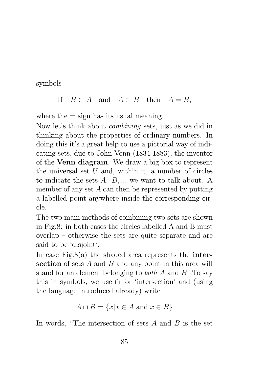symbols

#### If  $B \subset A$  and  $A \subset B$  then  $A = B$ ,

where the  $=$  sign has its usual meaning.

Now let's think about combining sets, just as we did in thinking about the properties of ordinary numbers. In doing this it's a great help to use a pictorial way of indicating sets, due to John Venn (1834-1883), the inventor of the Venn diagram. We draw a big box to represent the universal set  $U$  and, within it, a number of circles to indicate the sets  $A, B, \ldots$  we want to talk about. A member of any set  $A$  can then be represented by putting a labelled point anywhere inside the corresponding circle.

The two main methods of combining two sets are shown in Fig.8: in both cases the circles labelled A and B must overlap – otherwise the sets are quite separate and are said to be 'disjoint'.

In case Fig.8(a) the shaded area represents the **inter**section of sets  $A$  and  $B$  and any point in this area will stand for an element belonging to both A and B. To say this in symbols, we use  $\cap$  for 'intersection' and (using the language introduced already) write

$$
A \cap B = \{x | x \in A \text{ and } x \in B\}
$$

In words, "The intersection of sets  $A$  and  $B$  is the set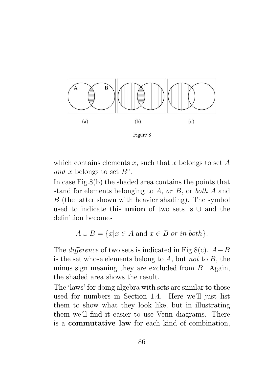

Figure 8

which contains elements x, such that x belongs to set  $A$ and x belongs to set  $B$ ".

In case Fig.8(b) the shaded area contains the points that stand for elements belonging to  $A$ , or  $B$ , or both  $A$  and B (the latter shown with heavier shading). The symbol used to indicate this union of two sets is ∪ and the definition becomes

$$
A \cup B = \{x | x \in A \text{ and } x \in B \text{ or in both}\}.
$$

The *difference* of two sets is indicated in Fig.8(c).  $A-B$ is the set whose elements belong to  $A$ , but not to  $B$ , the minus sign meaning they are excluded from B. Again, the shaded area shows the result.

The 'laws' for doing algebra with sets are similar to those used for numbers in Section 1.4. Here we'll just list them to show what they look like, but in illustrating them we'll find it easier to use Venn diagrams. There is a commutative law for each kind of combination,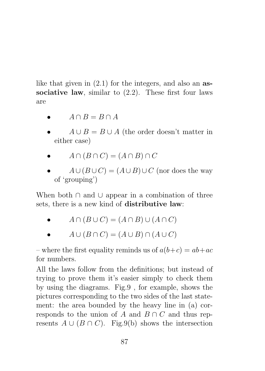like that given in  $(2.1)$  for the integers, and also an **as**sociative law, similar to  $(2.2)$ . These first four laws are

- $A \cap B = B \cap A$
- $A \cup B = B \cup A$  (the order doesn't matter in either case)

• 
$$
A \cap (B \cap C) = (A \cap B) \cap C
$$

 $A \cup (B \cup C) = (A \cup B) \cup C$  (nor does the way of 'grouping')

When both ∩ and ∪ appear in a combination of three sets, there is a new kind of distributive law:

- $A \cap (B \cup C) = (A \cap B) \cup (A \cap C)$
- $A \cup (B \cap C) = (A \cup B) \cap (A \cup C)$

– where the first equality reminds us of  $a(b+c) = ab + ac$ for numbers.

All the laws follow from the definitions; but instead of trying to prove them it's easier simply to check them by using the diagrams. Fig.9 , for example, shows the pictures corresponding to the two sides of the last statement: the area bounded by the heavy line in (a) corresponds to the union of A and  $B \cap C$  and thus represents  $A \cup (B \cap C)$ . Fig.9(b) shows the intersection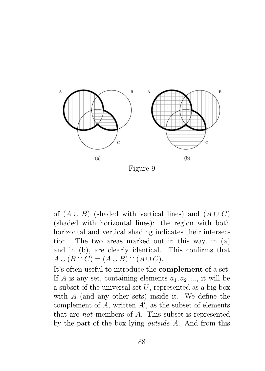

Figure 9

of  $(A \cup B)$  (shaded with vertical lines) and  $(A \cup C)$ (shaded with horizontal lines): the region with both horizontal and vertical shading indicates their intersection. The two areas marked out in this way, in (a) and in (b), are clearly identical. This confirms that  $A \cup (B \cap C) = (A \cup B) \cap (A \cup C).$ 

It's often useful to introduce the complement of a set. If A is any set, containing elements  $a_1, a_2, \dots$ , it will be a subset of the universal set  $U$ , represented as a big box with A (and any other sets) inside it. We define the complement of  $A$ , written  $A'$ , as the subset of elements that are not members of A. This subset is represented by the part of the box lying outside A. And from this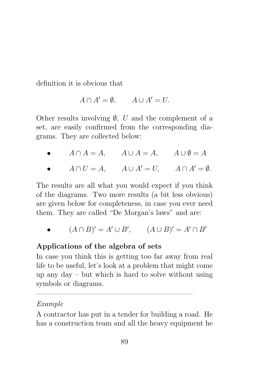definition it is obvious that

$$
A \cap A' = \emptyset, \qquad A \cup A' = U.
$$

Other results involving  $\emptyset$ , U and the complement of a set, are easily confirmed from the corresponding diagrams. They are collected below:

- $A \cap A = A$ ,  $A \cup A = A$ ,  $A \cup \emptyset = A$
- $A \cap U = A$ ,  $A \cup A' = U$ ,  $A \cap A' = \emptyset$ .

The results are all what you would expect if you think of the diagrams. Two more results (a bit less obvious) are given below for completeness, in case you ever need them. They are called "De Morgan's laws" and are:

•  $(A \cap B)' = A' \cup B'$ ,  $(A \cup B)' = A' \cap B'$ 

#### Applications of the algebra of sets

In case you think this is getting too far away from real life to be useful, let's look at a problem that might come up any day – but which is hard to solve without using symbols or diagrams.

—————————————————————–

#### Example

A contractor has put in a tender for building a road. He has a construction team and all the heavy equipment he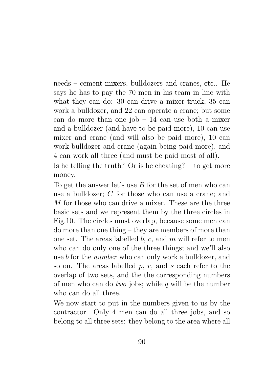needs – cement mixers, bulldozers and cranes, etc.. He says he has to pay the 70 men in his team in line with what they can do: 30 can drive a mixer truck, 35 can work a bulldozer, and 22 can operate a crane; but some can do more than one job – 14 can use both a mixer and a bulldozer (and have to be paid more), 10 can use mixer and crane (and will also be paid more), 10 can work bulldozer and crane (again being paid more), and 4 can work all three (and must be paid most of all).

Is he telling the truth? Or is he cheating? – to get more money.

To get the answer let's use  $B$  for the set of men who can use a bulldozer; C for those who can use a crane; and M for those who can drive a mixer. These are the three basic sets and we represent them by the three circles in Fig.10. The circles must overlap, because some men can do more than one thing – they are members of more than one set. The areas labelled  $b, c,$  and  $m$  will refer to men who can do only one of the three things; and we'll also use b for the number who can only work a bulldozer, and so on. The areas labelled  $p, r,$  and s each refer to the overlap of two sets, and the the corresponding numbers of men who can do *two* jobs; while q will be the number who can do all three.

We now start to put in the numbers given to us by the contractor. Only 4 men can do all three jobs, and so belong to all three sets: they belong to the area where all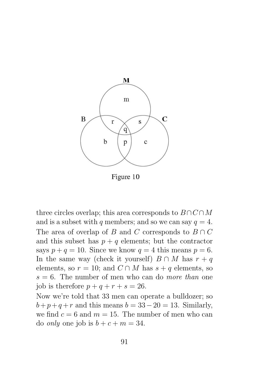

Figure 10

three circles overlap; this area corresponds to  $B \cap C \cap M$ and is a subset with q members; and so we can say  $q = 4$ . The area of overlap of B and C corresponds to  $B \cap C$ and this subset has  $p + q$  elements; but the contractor says  $p + q = 10$ . Since we know  $q = 4$  this means  $p = 6$ . In the same way (check it yourself)  $B \cap M$  has  $r + q$ elements, so  $r = 10$ ; and  $C \cap M$  has  $s + q$  elements, so  $s = 6$ . The number of men who can do more than one job is therefore  $p + q + r + s = 26$ .

Now we're told that 33 men can operate a bulldozer; so  $b+p+q+r$  and this means  $b=33-20=13$ . Similarly, we find  $c = 6$  and  $m = 15$ . The number of men who can do *only* one job is  $b + c + m = 34$ .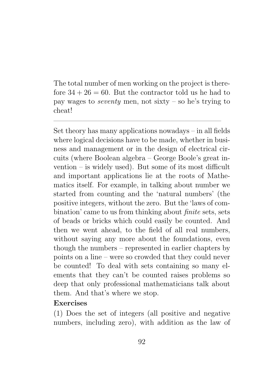The total number of men working on the project is therefore  $34 + 26 = 60$ . But the contractor told us he had to pay wages to seventy men, not sixty – so he's trying to cheat!

 $\frac{1}{\sqrt{2}}$  , and the contract of  $\frac{1}{\sqrt{2}}$  , and  $\frac{1}{\sqrt{2}}$  , and  $\frac{1}{\sqrt{2}}$  , and  $\frac{1}{\sqrt{2}}$  , and  $\frac{1}{\sqrt{2}}$ 

Set theory has many applications nowadays – in all fields where logical decisions have to be made, whether in business and management or in the design of electrical circuits (where Boolean algebra – George Boole's great invention – is widely used). But some of its most difficult and important applications lie at the roots of Mathematics itself. For example, in talking about number we started from counting and the 'natural numbers' (the positive integers, without the zero. But the 'laws of combination' came to us from thinking about finite sets, sets of beads or bricks which could easily be counted. And then we went ahead, to the field of all real numbers, without saying any more about the foundations, even though the numbers – represented in earlier chapters by points on a line – were so crowded that they could never be counted! To deal with sets containing so many elements that they can't be counted raises problems so deep that only professional mathematicians talk about them. And that's where we stop.

#### Exercises

(1) Does the set of integers (all positive and negative numbers, including zero), with addition as the law of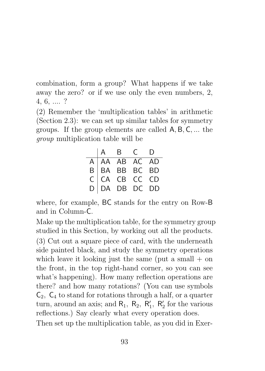combination, form a group? What happens if we take away the zero? or if we use only the even numbers, 2, 4, 6, .... ?

(2) Remember the 'multiplication tables' in arithmetic (Section 2.3): we can set up similar tables for symmetry groups. If the group elements are called A, B, C, ... the group multiplication table will be

|  | $\begin{array}{ccc} \mid A & B & C \end{array}$                  | Ð |
|--|------------------------------------------------------------------|---|
|  |                                                                  |   |
|  |                                                                  |   |
|  |                                                                  |   |
|  | A AA AB AC AD<br>B BA BB BC BD<br>C CA CB CC CD<br>D DA DB DC DD |   |

where, for example, BC stands for the entry on Row-B and in Column-C.

Make up the multiplication table, for the symmetry group studied in this Section, by working out all the products.

(3) Cut out a square piece of card, with the underneath side painted black, and study the symmetry operations which leave it looking just the same (put a small  $+$  on the front, in the top right-hand corner, so you can see what's happening). How many reflection operations are there? and how many rotations? (You can use symbols  $\mathsf{C}_2$ ,  $\mathsf{C}_4$  to stand for rotations through a half, or a quarter turn, around an axis; and  $R_1$ ,  $R_2$ ,  $R'_1$ ,  $R'_2$  for the various reflections.) Say clearly what every operation does.

Then set up the multiplication table, as you did in Exer-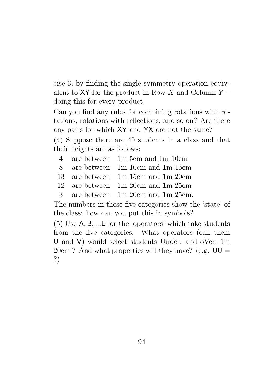cise 3, by finding the single symmetry operation equivalent to  $XY$  for the product in Row-X and Column-Y – doing this for every product.

Can you find any rules for combining rotations with rotations, rotations with reflections, and so on? Are there any pairs for which XY and YX are not the same? (4) Suppose there are 40 students in a class and that their heights are as follows:

- 4 are between 1m 5cm and 1m 10cm
- 8 are between 1m 10cm and 1m 15cm
- 13 are between 1m 15cm and 1m 20cm
- 12 are between 1m 20cm and 1m 25cm
- 3 are between 1m 20cm and 1m 25cm.

The numbers in these five categories show the 'state' of the class: how can you put this in symbols?

(5) Use A, B, ...E for the 'operators' which take students from the five categories. What operators (call them U and V) would select students Under, and oVer, 1m  $20 \text{cm}$ ? And what properties will they have? (e.g.  $UU =$ ?)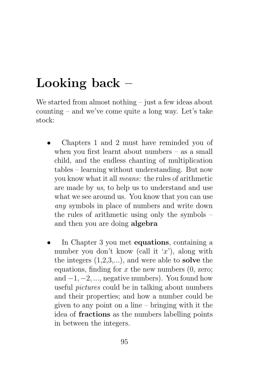# Looking back –

We started from almost nothing – just a few ideas about counting – and we've come quite a long way. Let's take stock:

- Chapters 1 and 2 must have reminded you of when you first learnt about numbers – as a small child, and the endless chanting of multiplication tables – learning without understanding. But now you know what it all means: the rules of arithmetic are made by us, to help us to understand and use what we see around us. You know that you can use any symbols in place of numbers and write down the rules of arithmetic using only the symbols – and then you are doing algebra
- In Chapter 3 you met **equations**, containing a number you don't know (call it  $x'$ ), along with the integers  $(1,2,3,...)$ , and were able to **solve** the equations, finding for  $x$  the new numbers  $(0, \text{zero})$ ; and  $-1, -2, \ldots$ , negative numbers). You found how useful pictures could be in talking about numbers and their properties; and how a number could be given to any point on a line – bringing with it the idea of fractions as the numbers labelling points in between the integers.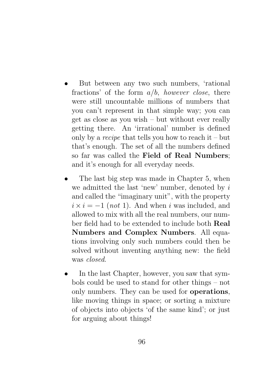- But between any two such numbers, 'rational fractions' of the form  $a/b$ , however close, there were still uncountable millions of numbers that you can't represent in that simple way; you can get as close as you wish – but without ever really getting there. An 'irrational' number is defined only by a *recipe* that tells you how to reach it – but that's enough. The set of all the numbers defined so far was called the Field of Real Numbers; and it's enough for all everyday needs.
- The last big step was made in Chapter 5, when we admitted the last 'new' number, denoted by  $i$ and called the "imaginary unit", with the property  $i \times i = -1$  (not 1). And when i was included, and allowed to mix with all the real numbers, our number field had to be extended to include both Real Numbers and Complex Numbers. All equations involving only such numbers could then be solved without inventing anything new: the field was closed.
- In the last Chapter, however, you saw that symbols could be used to stand for other things – not only numbers. They can be used for operations, like moving things in space; or sorting a mixture of objects into objects 'of the same kind'; or just for arguing about things!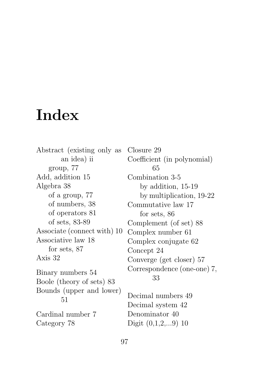# Index

Abstract (existing only as an idea) ii group, 77 Add, addition 15 Algebra 38 of a group, 77 of numbers, 38 of operators 81 of sets, 83-89 Associate (connect with) 10 Associative law 18 for sets, 87 Axis 32 Binary numbers 54 Boole (theory of sets) 83 Bounds (upper and lower) 51 Cardinal number 7 Category 78

Closure 29 Coefficient (in polynomial) 65 Combination 3-5 by addition, 15-19 by multiplication, 19-22 Commutative law 17 for sets, 86 Complement (of set) 88 Complex number 61 Complex conjugate 62 Concept 24 Converge (get closer) 57 Correspondence (one-one) 7, 33

Decimal numbers 49 Decimal system 42 Denominator 40 Digit (0,1,2,...9) 10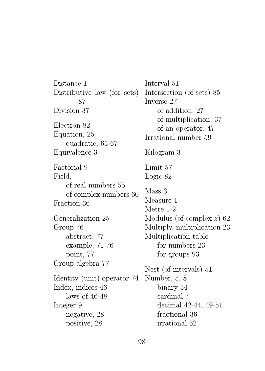Distance 1 Distributive law (for sets) 87 Division 37 Electron 82 Equation, 25 quadratic, 65-67 Equivalence 3 Factorial 9 Field, of real numbers 55 of complex numbers 60 Fraction 36 Generalization 25 Group 76 abstract, 77 example, 71-76 point, 77 Group algebra 77 Identity (unit) operator 74 Index, indices 46 laws of 46-48 Integer 9 negative, 28 positive, 28 Interval 51 Intersection (of sets) 85 Inverse 27 of addition, 27 of multiplication, 37 of an operator, 47 Irrational number 59 Kilogram 3 Limit 57 Logic 82 Mass 3 Measure 1 Metre 1-2 Modulus (of complex z) 62 Multiply, multiplication 23 Multiplication table for numbers 23 for groups 93 Nest (of intervals) 51 Number, 5, 8 binary 54 cardinal 7 decimal 42-44, 49-51 fractional 36 irrational 52